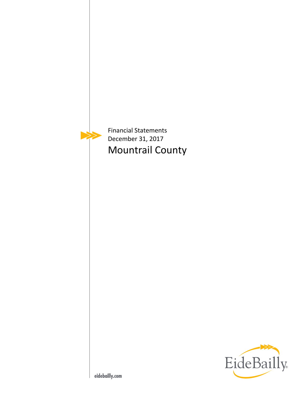

Financial Statements December 31, 2017 Mountrail County

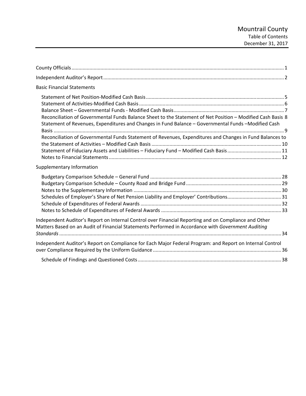| <b>Basic Financial Statements</b>                                                                                                                                                                                                                                                                                                                                                                                         |  |
|---------------------------------------------------------------------------------------------------------------------------------------------------------------------------------------------------------------------------------------------------------------------------------------------------------------------------------------------------------------------------------------------------------------------------|--|
| Reconciliation of Governmental Funds Balance Sheet to the Statement of Net Position - Modified Cash Basis 8<br>Statement of Revenues, Expenditures and Changes in Fund Balance - Governmental Funds - Modified Cash<br>Reconciliation of Governmental Funds Statement of Revenues, Expenditures and Changes in Fund Balances to<br>Statement of Fiduciary Assets and Liabilities - Fiduciary Fund - Modified Cash Basis11 |  |
| Supplementary Information                                                                                                                                                                                                                                                                                                                                                                                                 |  |
|                                                                                                                                                                                                                                                                                                                                                                                                                           |  |
| Independent Auditor's Report on Internal Control over Financial Reporting and on Compliance and Other<br>Matters Based on an Audit of Financial Statements Performed in Accordance with Government Auditing                                                                                                                                                                                                               |  |
| Independent Auditor's Report on Compliance for Each Major Federal Program: and Report on Internal Control                                                                                                                                                                                                                                                                                                                 |  |
|                                                                                                                                                                                                                                                                                                                                                                                                                           |  |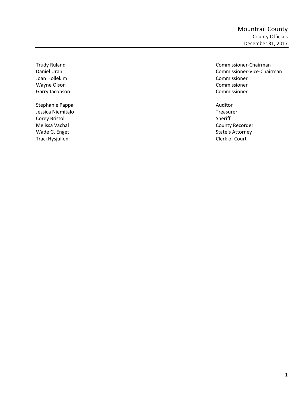Joan Hollekim Commissioner Wayne Olson **Commissioner Commissioner Commissioner** Garry Jacobson **Commissioner Commissioner Commissioner** 

Stephanie Pappa **Auditor Auditor Auditor Auditor Auditor** Jessica Niemitalo Treasurer Corey Bristol Sheriff Melissa Vachal **County Recorder** County Recorder Wade G. Enget **State's Attorney** Traci Hysjulien **Clerk of Court** 

Trudy Ruland Commissioner-Chairman Daniel Uran Commissioner-Vice-Chairman Commissioner-Vice-Chairman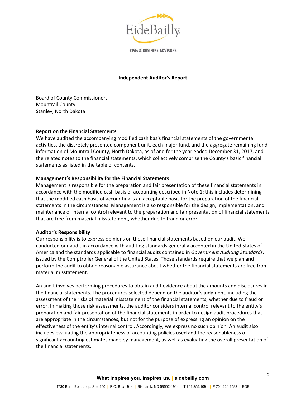

**CPAs & BUSINESS ADVISORS** 

#### **Independent Auditor's Report**

Board of County Commissioners Mountrail County Stanley, North Dakota

#### **Report on the Financial Statements**

We have audited the accompanying modified cash basis financial statements of the governmental activities, the discretely presented component unit, each major fund, and the aggregate remaining fund information of Mountrail County, North Dakota, as of and for the year ended December 31, 2017, and the related notes to the financial statements, which collectively comprise the County's basic financial statements as listed in the table of contents.

## **Management's Responsibility for the Financial Statements**

Management is responsible for the preparation and fair presentation of these financial statements in accordance with the modified cash basis of accounting described in Note 1; this includes determining that the modified cash basis of accounting is an acceptable basis for the preparation of the financial statements in the circumstances. Management is also responsible for the design, implementation, and maintenance of internal control relevant to the preparation and fair presentation of financial statements that are free from material misstatement, whether due to fraud or error.

#### **Auditor's Responsibility**

Our responsibility is to express opinions on these financial statements based on our audit. We conducted our audit in accordance with auditing standards generally accepted in the United States of America and the standards applicable to financial audits contained in *Government Auditing Standards*, issued by the Comptroller General of the United States. Those standards require that we plan and perform the audit to obtain reasonable assurance about whether the financial statements are free from material misstatement.

An audit involves performing procedures to obtain audit evidence about the amounts and disclosures in the financial statements. The procedures selected depend on the auditor's judgment, including the assessment of the risks of material misstatement of the financial statements, whether due to fraud or error. In making those risk assessments, the auditor considers internal control relevant to the entity's preparation and fair presentation of the financial statements in order to design audit procedures that are appropriate in the circumstances, but not for the purpose of expressing an opinion on the effectiveness of the entity's internal control. Accordingly, we express no such opinion. An audit also includes evaluating the appropriateness of accounting policies used and the reasonableness of significant accounting estimates made by management, as well as evaluating the overall presentation of the financial statements.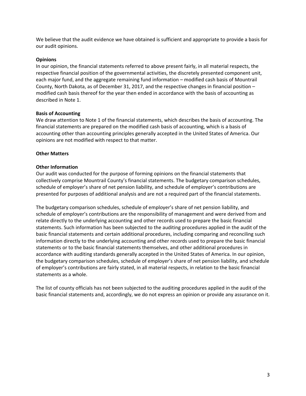We believe that the audit evidence we have obtained is sufficient and appropriate to provide a basis for our audit opinions.

# **Opinions**

In our opinion, the financial statements referred to above present fairly, in all material respects, the respective financial position of the governmental activities, the discretely presented component unit, each major fund, and the aggregate remaining fund information – modified cash basis of Mountrail County, North Dakota, as of December 31, 2017, and the respective changes in financial position – modified cash basis thereof for the year then ended in accordance with the basis of accounting as described in Note 1.

## **Basis of Accounting**

We draw attention to Note 1 of the financial statements, which describes the basis of accounting. The financial statements are prepared on the modified cash basis of accounting, which is a basis of accounting other than accounting principles generally accepted in the United States of America. Our opinions are not modified with respect to that matter.

# **Other Matters**

# **Other Information**

Our audit was conducted for the purpose of forming opinions on the financial statements that collectively comprise Mountrail County's financial statements. The budgetary comparison schedules, schedule of employer's share of net pension liability, and schedule of employer's contributions are presented for purposes of additional analysis and are not a required part of the financial statements.

The budgetary comparison schedules, schedule of employer's share of net pension liability, and schedule of employer's contributions are the responsibility of management and were derived from and relate directly to the underlying accounting and other records used to prepare the basic financial statements. Such information has been subjected to the auditing procedures applied in the audit of the basic financial statements and certain additional procedures, including comparing and reconciling such information directly to the underlying accounting and other records used to prepare the basic financial statements or to the basic financial statements themselves, and other additional procedures in accordance with auditing standards generally accepted in the United States of America. In our opinion, the budgetary comparison schedules, schedule of employer's share of net pension liability, and schedule of employer's contributions are fairly stated, in all material respects, in relation to the basic financial statements as a whole.

The list of county officials has not been subjected to the auditing procedures applied in the audit of the basic financial statements and, accordingly, we do not express an opinion or provide any assurance on it.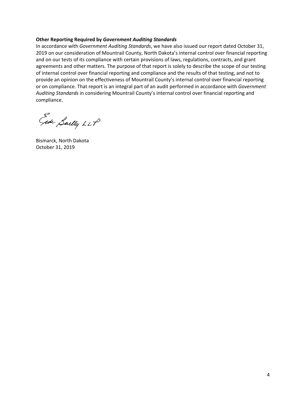#### **Other Reporting Required by** *Government Auditing Standards*

In accordance with *Government Auditing Standards*, we have also issued our report dated October 31, 2019 on our consideration of Mountrail County, North Dakota's internal control over financial reporting and on our tests of its compliance with certain provisions of laws, regulations, contracts, and grant agreements and other matters. The purpose of that report is solely to describe the scope of our testing of internal control over financial reporting and compliance and the results of that testing, and not to provide an opinion on the effectiveness of Mountrail County's internal control over financial reporting or on compliance. That report is an integral part of an audit performed in accordance with *Government Auditing Standards* in considering Mountrail County's internal control over financial reporting and compliance.

Gede Saelly LLP

Bismarck, North Dakota October 31, 2019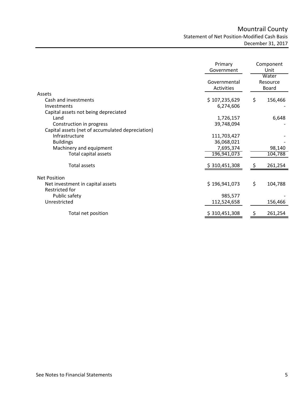# Mountrail County Statement of Net Position‐Modified Cash Basis December 31, 2017

|                                                         | Primary<br>Government             |    | Component<br>Unit          |  |
|---------------------------------------------------------|-----------------------------------|----|----------------------------|--|
|                                                         | Governmental<br><b>Activities</b> |    | Water<br>Resource<br>Board |  |
| Assets                                                  |                                   |    |                            |  |
| Cash and investments<br>Investments                     | \$107,235,629<br>6,274,606        | \$ | 156,466                    |  |
| Capital assets not being depreciated                    |                                   |    |                            |  |
| Land                                                    | 1,726,157                         |    | 6,648                      |  |
| Construction in progress                                | 39,748,094                        |    |                            |  |
| Capital assets (net of accumulated depreciation)        |                                   |    |                            |  |
| Infrastructure                                          | 111,703,427                       |    |                            |  |
| <b>Buildings</b>                                        | 36,068,021                        |    |                            |  |
| Machinery and equipment                                 | 7,695,374                         |    | 98,140                     |  |
| Total capital assets                                    | 196,941,073                       |    | 104,788                    |  |
| <b>Total assets</b>                                     | \$310,451,308                     |    | 261,254                    |  |
|                                                         |                                   |    |                            |  |
| <b>Net Position</b><br>Net investment in capital assets | \$196,941,073                     | \$ | 104,788                    |  |
| Restricted for                                          |                                   |    |                            |  |
| Public safety                                           | 985,577                           |    |                            |  |
| Unrestricted                                            | 112,524,658                       |    | 156,466                    |  |
| Total net position                                      | \$310,451,308                     | Ş  | 261,254                    |  |
|                                                         |                                   |    |                            |  |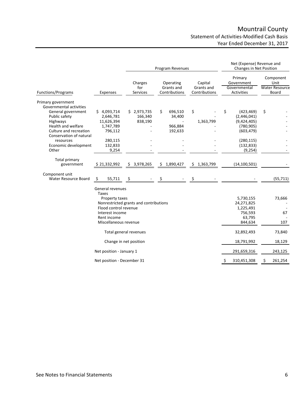# Mountrail County Statement of Activities‐Modified Cash Basis Year Ended December 31, 2017

|                                                                                                                                                                                                                           |                                                                                                                                        |                                        | Program Revenues                              |                                        | Net (Expense) Revenue and<br>Changes in Net Position                                                               |                                                     |
|---------------------------------------------------------------------------------------------------------------------------------------------------------------------------------------------------------------------------|----------------------------------------------------------------------------------------------------------------------------------------|----------------------------------------|-----------------------------------------------|----------------------------------------|--------------------------------------------------------------------------------------------------------------------|-----------------------------------------------------|
| <b>Functions/Programs</b>                                                                                                                                                                                                 | Expenses                                                                                                                               | Charges<br>for<br>Services             | Operating<br>Grants and<br>Contributions      | Capital<br>Grants and<br>Contributions | Primary<br>Government<br>Governmental<br>Activities                                                                | Component<br>Unit<br><b>Water Resource</b><br>Board |
| Primary government<br>Governmental activities<br>General government<br>Public safety<br>Highways<br>Health and welfare<br>Culture and recreation<br>Conservation of natural<br>resources<br>Economic development<br>Other | \$4,093,714<br>2,646,781<br>11,626,394<br>1,747,789<br>796,112<br>280,115<br>132,833<br>9,254                                          | \$2,973,735<br>166,340<br>838,190      | \$<br>696,510<br>34,400<br>966,884<br>192,633 | \$<br>1,363,799                        | \$<br>(423, 469)<br>(2,446,041)<br>(9,424,405)<br>(780, 905)<br>(603, 479)<br>(280, 115)<br>(132, 833)<br>(9, 254) | \$                                                  |
| Total primary<br>government                                                                                                                                                                                               | \$21,332,992                                                                                                                           | \$3,978,265                            | \$1,890,427                                   | \$1,363,799                            | (14, 100, 501)                                                                                                     |                                                     |
| Component unit<br>Water Resource Board                                                                                                                                                                                    | 55,711<br>-S                                                                                                                           | S                                      |                                               | Ś                                      |                                                                                                                    | (55, 711)                                           |
|                                                                                                                                                                                                                           | General revenues<br><b>Taxes</b><br>Property taxes<br>Flood control revenue<br>Interest income<br>Rent income<br>Miscellaneous revenue | Nonrestricted grants and contributions |                                               |                                        | 5,730,155<br>24,271,825<br>1,225,491<br>756,593<br>63,795<br>844,634                                               | 73,666<br>67<br>107                                 |
|                                                                                                                                                                                                                           |                                                                                                                                        | Total general revenues                 |                                               |                                        | 32,892,493                                                                                                         | 73,840                                              |
|                                                                                                                                                                                                                           |                                                                                                                                        | Change in net position                 |                                               |                                        | 18,791,992                                                                                                         | 18,129                                              |
|                                                                                                                                                                                                                           | Net position - January 1                                                                                                               |                                        |                                               |                                        | 291,659,316                                                                                                        | 243,125                                             |
|                                                                                                                                                                                                                           | Net position - December 31                                                                                                             |                                        |                                               |                                        | 310,451,308<br>S                                                                                                   | \$<br>261,254                                       |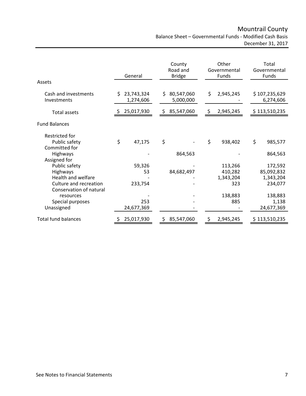Mountrail County Balance Sheet – Governmental Funds ‐ Modified Cash Basis

December 31, 2017

|                                                   |    | General                 | Other<br>County<br>Road and<br>Governmental<br><b>Bridge</b><br>Funds |                         | Total<br>Governmental<br>Funds |           |                            |
|---------------------------------------------------|----|-------------------------|-----------------------------------------------------------------------|-------------------------|--------------------------------|-----------|----------------------------|
| Assets                                            |    |                         |                                                                       |                         |                                |           |                            |
| Cash and investments<br>Investments               | Ś  | 23,743,324<br>1,274,606 | Ś.                                                                    | 80,547,060<br>5,000,000 | \$                             | 2,945,245 | \$107,235,629<br>6,274,606 |
| <b>Total assets</b>                               |    | \$25,017,930            | Ş.                                                                    | 85,547,060              | $\mathsf{S}$                   | 2,945,245 | \$113,510,235              |
| <b>Fund Balances</b>                              |    |                         |                                                                       |                         |                                |           |                            |
| Restricted for                                    |    |                         |                                                                       |                         |                                |           |                            |
| Public safety<br>Committed for                    | \$ | 47,175                  | \$                                                                    |                         | \$                             | 938,402   | \$<br>985,577              |
| Highways<br>Assigned for                          |    |                         |                                                                       | 864,563                 |                                |           | 864,563                    |
| Public safety                                     |    | 59,326                  |                                                                       |                         |                                | 113,266   | 172,592                    |
| Highways                                          |    | 53                      |                                                                       | 84,682,497              |                                | 410,282   | 85,092,832                 |
| <b>Health and welfare</b>                         |    |                         |                                                                       |                         |                                | 1,343,204 | 1,343,204                  |
| Culture and recreation<br>Conservation of natural |    | 233,754                 |                                                                       |                         |                                | 323       | 234,077                    |
| resources                                         |    |                         |                                                                       |                         |                                | 138,883   | 138,883                    |
| Special purposes                                  |    | 253                     |                                                                       |                         |                                | 885       | 1,138                      |
| Unassigned                                        |    | 24,677,369              |                                                                       |                         |                                |           | 24,677,369                 |
| <b>Total fund balances</b>                        |    | 25,017,930              | S                                                                     | 85,547,060              | S                              | 2,945,245 | \$113,510,235              |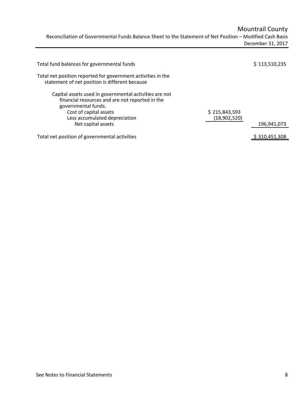Mountrail County

Reconciliation of Governmental Funds Balance Sheet to the Statement of Net Position – Modified Cash Basis December 31, 2017

| Total fund balances for governmental funds                                                                                                                                                                        |                               | \$113,510,235 |
|-------------------------------------------------------------------------------------------------------------------------------------------------------------------------------------------------------------------|-------------------------------|---------------|
| Total net position reported for government activities in the<br>statement of net position is different because                                                                                                    |                               |               |
| Capital assets used in governmental activities are not<br>financial resources and are not reported in the<br>governmental funds.<br>Cost of capital assets<br>Less accumulated depreciation<br>Net capital assets | \$215,843,593<br>(18,902,520) | 196,941,073   |
| Total net position of governmental activities                                                                                                                                                                     |                               | \$310,451,308 |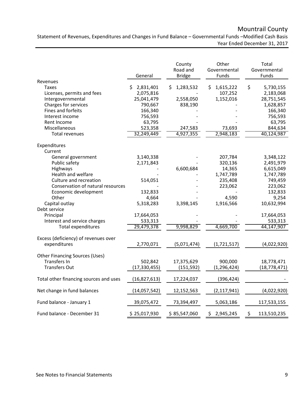# Mountrail County

Statement of Revenues, Expenditures and Changes in Fund Balance – Governmental Funds –Modified Cash Basis Year Ended December 31, 2017

|                                                                                              | General                                              | County<br>Road and<br><b>Bridge</b>     | Other<br>Governmental<br>Funds          | Total<br>Governmental<br>Funds                          |
|----------------------------------------------------------------------------------------------|------------------------------------------------------|-----------------------------------------|-----------------------------------------|---------------------------------------------------------|
| Revenues<br>Taxes<br>Licenses, permits and fees<br>Intergovernmental<br>Charges for services | 2,831,401<br>S<br>2,075,816<br>25,041,479<br>790,667 | 1,283,532<br>S.<br>2,558,050<br>838,190 | 1,615,222<br>\$<br>107,252<br>1,152,016 | \$<br>5,730,155<br>2,183,068<br>28,751,545<br>1,628,857 |
| Fines and forfeits<br>Interest income<br>Rent Income<br>Miscellaneous                        | 166,340<br>756,593<br>63,795<br>523,358              | 247,583                                 | 73,693                                  | 166,340<br>756,593<br>63,795<br>844,634                 |
| <b>Total revenues</b>                                                                        | 32,249,449                                           | 4,927,355                               | 2,948,183                               | 40,124,987                                              |
| Expenditures<br>Current                                                                      |                                                      |                                         |                                         |                                                         |
| General government<br>Public safety                                                          | 3,140,338<br>2,171,843                               |                                         | 207,784<br>320,136                      | 3,348,122<br>2,491,979                                  |
| Highways<br>Health and welfare<br>Culture and recreation                                     | 514,051                                              | 6,600,684                               | 14,365<br>1,747,789<br>235,408          | 6,615,049<br>1,747,789<br>749,459                       |
| Conservation of natural resources<br>Economic development                                    | 132,833                                              |                                         | 223,062                                 | 223,062<br>132,833                                      |
| Other<br>Capital outlay<br>Debt service                                                      | 4,664<br>5,318,283                                   | 3,398,145                               | 4,590<br>1,916,566                      | 9,254<br>10,632,994                                     |
| Principal<br>Interest and service charges<br>Total expenditures                              | 17,664,053<br>533,313<br>29,479,378                  | 9,998,829                               | 4,669,700                               | 17,664,053<br>533,313<br>44,147,907                     |
| Excess (deficiency) of revenues over<br>expenditures                                         | 2,770,071                                            | (5,071,474)                             | (1, 721, 517)                           | (4,022,920)                                             |
| <b>Other Financing Sources (Uses)</b>                                                        |                                                      |                                         |                                         |                                                         |
| <b>Transfers In</b><br><b>Transfers Out</b>                                                  | 502,842<br>(17,330,455)                              | 17,375,629<br>(151, 592)                | 900,000<br>(1, 296, 424)                | 18,778,471<br>(18, 778, 471)                            |
| Total other financing sources and uses                                                       | (16, 827, 613)                                       | 17,224,037                              | (396, 424)                              |                                                         |
| Net change in fund balances                                                                  | (14,057,542)                                         | 12,152,563                              | (2, 117, 941)                           | (4,022,920)                                             |
| Fund balance - January 1                                                                     | 39,075,472                                           | 73,394,497                              | 5,063,186                               | 117,533,155                                             |
| Fund balance - December 31                                                                   | \$25,017,930                                         | \$85,547,060                            | \$2,945,245                             | 113,510,235<br>\$.                                      |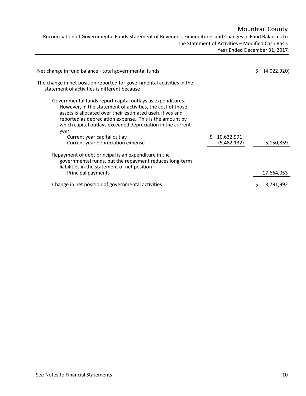# Mountrail County

Reconciliation of Governmental Funds Statement of Revenues, Expenditures and Changes in Fund Balances to the Statement of Activities – Modified Cash Basis Year Ended December 31, 2017

| Net change in fund balance - total governmental funds                                                                                                                                                                                                                                                                                                                                      |                           | S. | (4,022,920) |
|--------------------------------------------------------------------------------------------------------------------------------------------------------------------------------------------------------------------------------------------------------------------------------------------------------------------------------------------------------------------------------------------|---------------------------|----|-------------|
| The change in net position reported for governmental activities in the<br>statement of activities is different because                                                                                                                                                                                                                                                                     |                           |    |             |
| Governmental funds report capital outlays as expenditures.<br>However, in the statement of activities, the cost of those<br>assets is allocated over their estimated useful lives and<br>reported as depreciation expense. This is the amount by<br>which capital outlays exceeded depreciation in the current<br>year<br>Current year capital outlay<br>Current year depreciation expense | 10,632,991<br>(5,482,132) |    | 5,150,859   |
| Repayment of debt principal is an expenditure in the<br>governmental funds, but the repayment reduces long-term<br>liabilities in the statement of net position<br>Principal payments                                                                                                                                                                                                      |                           |    | 17,664,053  |
| Change in net position of governmental activities                                                                                                                                                                                                                                                                                                                                          |                           |    | 18,791,992  |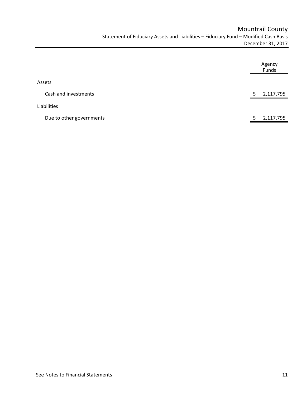|                          | Agency<br>Funds |
|--------------------------|-----------------|
| Assets                   |                 |
| Cash and investments     | 2,117,795       |
| Liabilities              |                 |
| Due to other governments | 2,117,795       |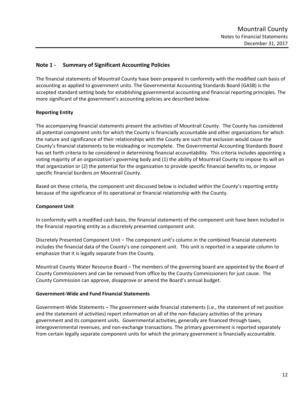# **Note 1 ‐ Summary of Significant Accounting Policies**

The financial statements of Mountrail County have been prepared in conformity with the modified cash basis of accounting as applied to government units. The Governmental Accounting Standards Board (GASB) is the accepted standard setting body for establishing governmental accounting and financial reporting principles. The more significant of the government's accounting policies are described below.

# **Reporting Entity**

The accompanying financial statements present the activities of Mountrail County. The County has considered all potential component units for which the County is financially accountable and other organizations for which the nature and significance of their relationships with the County are such that exclusion would cause the County's financial statements to be misleading or incomplete. The Governmental Accounting Standards Board has set forth criteria to be considered in determining financial accountability. This criteria includes appointing a voting majority of an organization's governing body and (1) the ability of Mountrail County to impose its will on that organization or (2) the potential for the organization to provide specific financial benefits to, or impose specific financial burdens on Mountrail County.

Based on these criteria, the component unit discussed below is included within the County's reporting entity because of the significance of its operational or financial relationship with the County.

# **Component Unit**

In conformity with a modified cash basis, the financial statements of the component unit have been included in the financial reporting entity as a discretely presented component unit.

Discretely Presented Component Unit – The component unit's column in the combined financial statements includes the financial data of the County's one component unit. This unit is reported in a separate column to emphasize that it is legally separate from the County.

Mountrail County Water Resource Board – The members of the governing board are appointed by the Board of County Commissioners and can be removed from office by the County Commissioners for just cause. The County Commission can approve, disapprove or amend the Board's annual budget.

## **Government‐Wide and Fund Financial Statements**

Government‐Wide Statements – The government‐wide financial statements (i.e., the statement of net position and the statement of activities) report information on all of the non-fiduciary activities of the primary government and its component units. Governmental activities, generally are financed through taxes, intergovernmental revenues, and non‐exchange transactions. The primary government is reported separately from certain legally separate component units for which the primary government is financially accountable.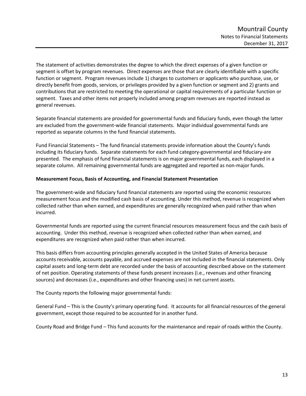The statement of activities demonstrates the degree to which the direct expenses of a given function or segment is offset by program revenues. Direct expenses are those that are clearly identifiable with a specific function or segment. Program revenues include 1) charges to customers or applicants who purchase, use, or directly benefit from goods, services, or privileges provided by a given function or segment and 2) grants and contributions that are restricted to meeting the operational or capital requirements of a particular function or segment. Taxes and other items not properly included among program revenues are reported instead as general revenues.

Separate financial statements are provided for governmental funds and fiduciary funds, even though the latter are excluded from the government‐wide financial statements. Major individual governmental funds are reported as separate columns in the fund financial statements.

Fund Financial Statements – The fund financial statements provide information about the County's funds including its fiduciary funds. Separate statements for each fund category‐governmental and fiduciary‐are presented. The emphasis of fund financial statements is on major governmental funds, each displayed in a separate column. All remaining governmental funds are aggregated and reported as non-major funds.

## **Measurement Focus, Basis of Accounting, and Financial Statement Presentation**

The government‐wide and fiduciary fund financial statements are reported using the economic resources measurement focus and the modified cash basis of accounting. Under this method, revenue is recognized when collected rather than when earned, and expenditures are generally recognized when paid rather than when incurred.

Governmental funds are reported using the current financial resources measurement focus and the cash basis of accounting. Under this method, revenue is recognized when collected rather than when earned, and expenditures are recognized when paid rather than when incurred.

This basis differs from accounting principles generally accepted in the United States of America because accounts receivable, accounts payable, and accrued expenses are not included in the financial statements. Only capital assets and long‐term debt are recorded under the basis of accounting described above on the statement of net position. Operating statements of these funds present increases (i.e., revenues and other financing sources) and decreases (i.e., expenditures and other financing uses) in net current assets.

The County reports the following major governmental funds:

General Fund – This is the County's primary operating fund. It accounts for all financial resources of the general government, except those required to be accounted for in another fund.

County Road and Bridge Fund – This fund accounts for the maintenance and repair of roads within the County.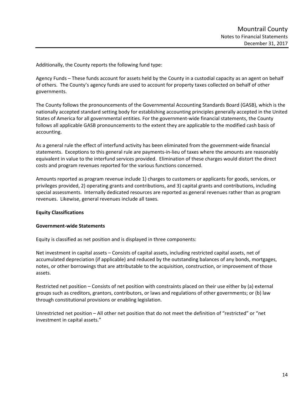Additionally, the County reports the following fund type:

Agency Funds – These funds account for assets held by the County in a custodial capacity as an agent on behalf of others. The County's agency funds are used to account for property taxes collected on behalf of other governments.

The County follows the pronouncements of the Governmental Accounting Standards Board (GASB), which is the nationally accepted standard setting body for establishing accounting principles generally accepted in the United States of America for all governmental entities. For the government-wide financial statements, the County follows all applicable GASB pronouncements to the extent they are applicable to the modified cash basis of accounting.

As a general rule the effect of interfund activity has been eliminated from the government‐wide financial statements. Exceptions to this general rule are payments‐in‐lieu of taxes where the amounts are reasonably equivalent in value to the interfund services provided. Elimination of these charges would distort the direct costs and program revenues reported for the various functions concerned.

Amounts reported as program revenue include 1) charges to customers or applicants for goods, services, or privileges provided, 2) operating grants and contributions, and 3) capital grants and contributions, including special assessments. Internally dedicated resources are reported as general revenues rather than as program revenues. Likewise, general revenues include all taxes.

# **Equity Classifications**

## **Government‐wide Statements**

Equity is classified as net position and is displayed in three components:

Net investment in capital assets – Consists of capital assets, including restricted capital assets, net of accumulated depreciation (if applicable) and reduced by the outstanding balances of any bonds, mortgages, notes, or other borrowings that are attributable to the acquisition, construction, or improvement of those assets.

Restricted net position – Consists of net position with constraints placed on their use either by (a) external groups such as creditors, grantors, contributors, or laws and regulations of other governments; or (b) law through constitutional provisions or enabling legislation.

Unrestricted net position – All other net position that do not meet the definition of "restricted" or "net investment in capital assets."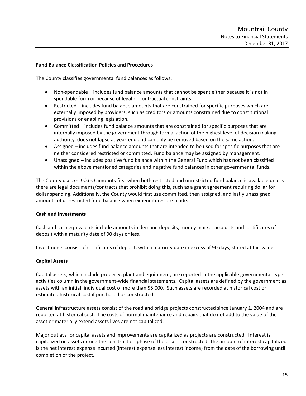### **Fund Balance Classification Policies and Procedures**

The County classifies governmental fund balances as follows:

- Non-spendable includes fund balance amounts that cannot be spent either because it is not in spendable form or because of legal or contractual constraints.
- Restricted includes fund balance amounts that are constrained for specific purposes which are externally imposed by providers, such as creditors or amounts constrained due to constitutional provisions or enabling legislation.
- Committed includes fund balance amounts that are constrained for specific purposes that are internally imposed by the government through formal action of the highest level of decision making authority, does not lapse at year-end and can only be removed based on the same action.
- Assigned includes fund balance amounts that are intended to be used for specific purposes that are neither considered restricted or committed. Fund balance may be assigned by management.
- Unassigned includes positive fund balance within the General Fund which has not been classified within the above mentioned categories and negative fund balances in other governmental funds.

The County uses *restricted* amounts first when both restricted and unrestricted fund balance is available unless there are legal documents/contracts that prohibit doing this, such as a grant agreement requiring dollar for dollar spending. Additionally, the County would first use committed, then assigned, and lastly unassigned amounts of unrestricted fund balance when expenditures are made.

## **Cash and Investments**

Cash and cash equivalents include amounts in demand deposits, money market accounts and certificates of deposit with a maturity date of 90 days or less.

Investments consist of certificates of deposit, with a maturity date in excess of 90 days, stated at fair value.

## **Capital Assets**

Capital assets, which include property, plant and equipment, are reported in the applicable governmental‐type activities column in the government‐wide financial statements. Capital assets are defined by the government as assets with an initial, individual cost of more than \$5,000. Such assets are recorded at historical cost or estimated historical cost if purchased or constructed.

General infrastructure assets consist of the road and bridge projects constructed since January 1, 2004 and are reported at historical cost. The costs of normal maintenance and repairs that do not add to the value of the asset or materially extend assets lives are not capitalized.

Major outlays for capital assets and improvements are capitalized as projects are constructed. Interest is capitalized on assets during the construction phase of the assets constructed. The amount of interest capitalized is the net interest expense incurred (interest expense less interest income) from the date of the borrowing until completion of the project.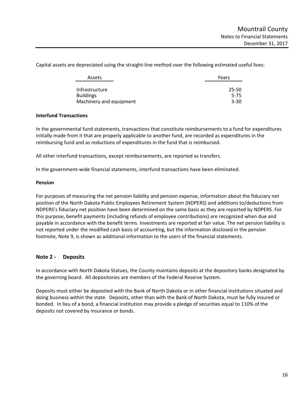Assets **Years** Infrastructure 25‐50 Buildings 5-75 Machinery and equipment 3-30

Capital assets are depreciated using the straight‐line method over the following estimated useful lives:

#### **Interfund Transactions**

In the governmental fund statements, transactions that constitute reimbursements to a fund for expenditures initially made from it that are properly applicable to another fund, are recorded as expenditures in the reimbursing fund and as reductions of expenditures in the fund that is reimbursed.

All other interfund transactions, except reimbursements, are reported as transfers.

In the government-wide financial statements, interfund transactions have been eliminated.

#### **Pension**

For purposes of measuring the net pension liability and pension expense, information about the fiduciary net position of the North Dakota Public Employees Retirement System (NDPERS) and additions to/deductions from NDPERS's fiduciary net position have been determined on the same basis as they are reported by NDPERS. For this purpose, benefit payments (including refunds of employee contributions) are recognized when due and payable in accordance with the benefit terms. Investments are reported at fair value. The net pension liability is not reported under the modified cash basis of accounting, but the information disclosed in the pension footnote, Note 9, is shown as additional information to the users of the financial statements.

## **Note 2 ‐ Deposits**

In accordance with North Dakota Statues, the County maintains deposits at the depository banks designated by the governing board. All depositories are members of the Federal Reserve System.

Deposits must either be deposited with the Bank of North Dakota or in other financial institutions situated and doing business within the state. Deposits, other than with the Bank of North Dakota, must be fully insured or bonded. In lieu of a bond, a financial institution may provide a pledge of securities equal to 110% of the deposits not covered by insurance or bonds.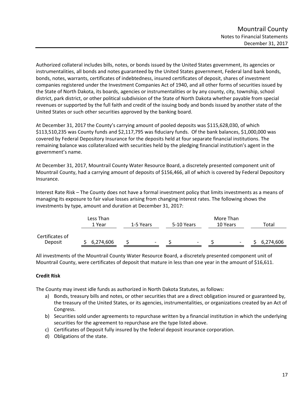Authorized collateral includes bills, notes, or bonds issued by the United States government, its agencies or instrumentalities, all bonds and notes guaranteed by the United States government, Federal land bank bonds, bonds, notes, warrants, certificates of indebtedness, insured certificates of deposit, shares of investment companies registered under the Investment Companies Act of 1940, and all other forms of securities issued by the State of North Dakota, its boards, agencies or instrumentalities or by any county, city, township, school district, park district, or other political subdivision of the State of North Dakota whether payable from special revenues or supported by the full faith and credit of the issuing body and bonds issued by another state of the United States or such other securities approved by the banking board.

At December 31, 2017 the County's carrying amount of pooled deposits was \$115,628,030, of which \$113,510,235 was County funds and \$2,117,795 was fiduciary funds. Of the bank balances, \$1,000,000 was covered by Federal Depository Insurance for the deposits held at four separate financial institutions. The remaining balance was collateralized with securities held by the pledging financial institution's agent in the government's name.

At December 31, 2017, Mountrail County Water Resource Board, a discretely presented component unit of Mountrail County, had a carrying amount of deposits of \$156,466, all of which is covered by Federal Depository Insurance.

Interest Rate Risk – The County does not have a formal investment policy that limits investments as a means of managing its exposure to fair value losses arising from changing interest rates. The following shows the investments by type, amount and duration at December 31, 2017:

|                            | Less Than<br>1 Year | 1-5 Years | 5-10 Years                                           | More Than<br>10 Years | Total     |
|----------------------------|---------------------|-----------|------------------------------------------------------|-----------------------|-----------|
| Certificates of<br>Deposit | 6,274,606           |           | $\overline{\phantom{a}}$<br>$\overline{\phantom{0}}$ | -                     | 6,274,606 |

All investments of the Mountrail County Water Resource Board, a discretely presented component unit of Mountrail County, were certificates of deposit that mature in less than one year in the amount of \$16,611.

# **Credit Risk**

The County may invest idle funds as authorized in North Dakota Statutes, as follows:

- a) Bonds, treasury bills and notes, or other securities that are a direct obligation insured or guaranteed by, the treasury of the United States, or its agencies, instrumentalities, or organizations created by an Act of Congress.
- b) Securities sold under agreements to repurchase written by a financial institution in which the underlying securities for the agreement to repurchase are the type listed above.
- c) Certificates of Deposit fully insured by the federal deposit insurance corporation.
- d) Obligations of the state.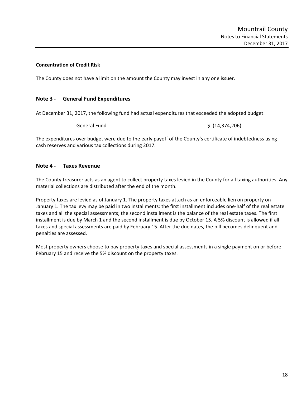## **Concentration of Credit Risk**

The County does not have a limit on the amount the County may invest in any one issuer.

# **Note 3 ‐ General Fund Expenditures**

At December 31, 2017, the following fund had actual expenditures that exceeded the adopted budget:

General Fund \$ (14,374,206)

The expenditures over budget were due to the early payoff of the County's certificate of indebtedness using cash reserves and various tax collections during 2017.

## **Note 4 ‐ Taxes Revenue**

The County treasurer acts as an agent to collect property taxes levied in the County for all taxing authorities. Any material collections are distributed after the end of the month.

Property taxes are levied as of January 1. The property taxes attach as an enforceable lien on property on January 1. The tax levy may be paid in two installments: the first installment includes one‐half of the real estate taxes and all the special assessments; the second installment is the balance of the real estate taxes. The first installment is due by March 1 and the second installment is due by October 15. A 5% discount is allowed if all taxes and special assessments are paid by February 15. After the due dates, the bill becomes delinquent and penalties are assessed.

Most property owners choose to pay property taxes and special assessments in a single payment on or before February 15 and receive the 5% discount on the property taxes.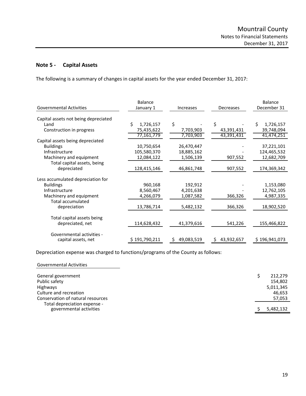# **Note 5 ‐ Capital Assets**

The following is a summary of changes in capital assets for the year ended December 31, 2017:

|                                      | <b>Balance</b> |                            |                   | <b>Balance</b> |
|--------------------------------------|----------------|----------------------------|-------------------|----------------|
| <b>Governmental Activities</b>       | January 1      | <b>Increases</b>           | Decreases         | December 31    |
| Capital assets not being depreciated |                |                            |                   |                |
| Land                                 | Ś<br>1,726,157 | \$                         | \$                | 1,726,157      |
| Construction in progress             | 75,435,622     | 7,703,903                  | 43,391,431        | 39,748,094     |
|                                      | 77,161,779     | 7,703,903                  | 43,391,431        | 41,474,251     |
| Capital assets being depreciated     |                |                            |                   |                |
| <b>Buildings</b>                     | 10,750,654     | 26,470,447                 |                   | 37,221,101     |
| Infrastructure                       | 105,580,370    | 18,885,162                 |                   | 124,465,532    |
| Machinery and equipment              | 12,084,122     | 1,506,139                  | 907,552           | 12,682,709     |
| Total capital assets, being          |                |                            |                   |                |
| depreciated                          | 128,415,146    | 46,861,748                 | 907,552           | 174,369,342    |
|                                      |                |                            |                   |                |
| Less accumulated depreciation for    |                |                            |                   |                |
| <b>Buildings</b>                     | 960,168        | 192,912                    |                   | 1,153,080      |
| Infrastructure                       | 8,560,467      | 4,201,638                  |                   | 12,762,105     |
| Machinery and equipment              | 4,266,079      | 1,087,582                  | 366,326           | 4,987,335      |
| <b>Total accumulated</b>             |                |                            |                   |                |
| depreciation                         | 13,786,714     | 5,482,132                  | 366,326           | 18,902,520     |
|                                      |                |                            |                   |                |
| Total capital assets being           |                |                            |                   |                |
| depreciated, net                     | 114,628,432    | 41,379,616                 | 541,226           | 155,466,822    |
|                                      |                |                            |                   |                |
| Governmental activities -            | \$191,790,211  |                            |                   |                |
| capital assets, net                  |                | 49,083,519<br>$\mathsf{S}$ | 43,932,657<br>\$. | \$196,941,073  |

Depreciation expense was charged to functions/programs of the County as follows:

| <b>Governmental Activities</b>                                    |                      |
|-------------------------------------------------------------------|----------------------|
| General government                                                | 212,279              |
| Public safety<br>Highways                                         | 154,802<br>5,011,345 |
| Culture and recreation                                            | 46,653               |
| Conservation of natural resources<br>Total depreciation expense - | 57,053               |
| governmental activities                                           | 5,482,132            |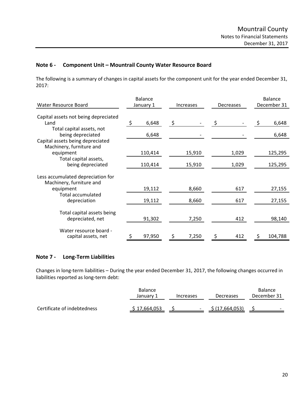# **Note 6 ‐ Component Unit – Mountrail County Water Resource Board**

The following is a summary of changes in capital assets for the component unit for the year ended December 31, 2017:

| <b>Water Resource Board</b>                                               | <b>Balance</b><br>January 1 | <b>Increases</b> |        | Decreases |       | <b>Balance</b><br>December 31 |         |
|---------------------------------------------------------------------------|-----------------------------|------------------|--------|-----------|-------|-------------------------------|---------|
| Capital assets not being depreciated<br>Land                              | \$<br>6,648                 | \$               |        | \$        |       | \$                            | 6,648   |
| Total capital assets, not<br>being depreciated                            | 6,648                       |                  |        |           |       |                               | 6,648   |
| Capital assets being depreciated<br>Machinery, furniture and<br>equipment | 110,414                     |                  | 15,910 |           | 1,029 |                               | 125,295 |
| Total capital assets,<br>being depreciated                                | 110,414                     |                  | 15,910 |           | 1,029 |                               | 125,295 |
| Less accumulated depreciation for                                         |                             |                  |        |           |       |                               |         |
| Machinery, furniture and<br>equipment<br>Total accumulated                | 19,112                      |                  | 8,660  |           | 617   |                               | 27,155  |
| depreciation                                                              | 19,112                      |                  | 8,660  |           | 617   |                               | 27,155  |
| Total capital assets being<br>depreciated, net                            | 91,302                      |                  | 7,250  |           | 412   |                               | 98,140  |
| Water resource board -<br>capital assets, net                             | 97,950                      | \$               | 7,250  | \$        | 412   |                               | 104,788 |

# **Note 7 ‐ Long‐Term Liabilities**

Changes in long‐term liabilities – During the year ended December 31, 2017, the following changes occurred in liabilities reported as long-term debt:

|                             | <b>Balance</b><br>January <sup>1</sup> | <b>Increases</b>         | Decreases       | <b>Balance</b><br>December 31 |
|-----------------------------|----------------------------------------|--------------------------|-----------------|-------------------------------|
| Certificate of indebtedness | \$17,664,053                           | $\overline{\phantom{a}}$ | \$ (17,664,053) | $\overline{\phantom{0}}$      |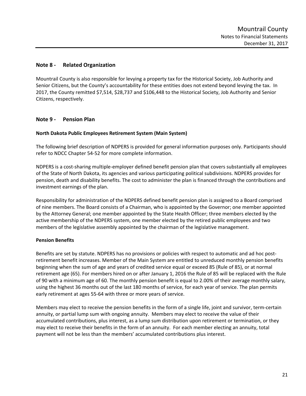# **Note 8 ‐ Related Organization**

Mountrail County is also responsible for levying a property tax for the Historical Society, Job Authority and Senior Citizens, but the County's accountability for these entities does not extend beyond levying the tax. In 2017, the County remitted \$7,514, \$28,737 and \$106,448 to the Historical Society, Job Authority and Senior Citizens, respectively.

# **Note 9 ‐ Pension Plan**

# **North Dakota Public Employees Retirement System (Main System)**

The following brief description of NDPERS is provided for general information purposes only. Participants should refer to NDCC Chapter 54‐52 for more complete information.

NDPERS is a cost‐sharing multiple‐employer defined benefit pension plan that covers substantially all employees of the State of North Dakota, its agencies and various participating political subdivisions. NDPERS provides for pension, death and disability benefits. The cost to administer the plan is financed through the contributions and investment earnings of the plan.

Responsibility for administration of the NDPERS defined benefit pension plan is assigned to a Board comprised of nine members. The Board consists of a Chairman, who is appointed by the Governor; one member appointed by the Attorney General; one member appointed by the State Health Officer; three members elected by the active membership of the NDPERS system, one member elected by the retired public employees and two members of the legislative assembly appointed by the chairman of the legislative management.

# **Pension Benefits**

Benefits are set by statute. NDPERS has no provisions or policies with respect to automatic and ad hoc postretirement benefit increases. Member of the Main System are entitled to unreduced monthly pension benefits beginning when the sum of age and years of credited service equal or exceed 85 (Rule of 85), or at normal retirement age (65). For members hired on or after January 1, 2016 the Rule of 85 will be replaced with the Rule of 90 with a minimum age of 60. The monthly pension benefit is equal to 2.00% of their average monthly salary, using the highest 36 months out of the last 180 months of service, for each year of service. The plan permits early retirement at ages 55‐64 with three or more years of service.

Members may elect to receive the pension benefits in the form of a single life, joint and survivor, term‐certain annuity, or partial lump sum with ongoing annuity. Members may elect to receive the value of their accumulated contributions, plus interest, as a lump sum distribution upon retirement or termination, or they may elect to receive their benefits in the form of an annuity. For each member electing an annuity, total payment will not be less than the members' accumulated contributions plus interest.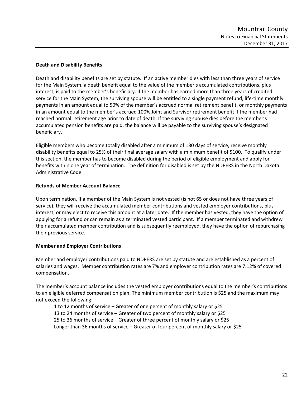# **Death and Disability Benefits**

Death and disability benefits are set by statute. If an active member dies with less than three years of service for the Main System, a death benefit equal to the value of the member's accumulated contributions, plus interest, is paid to the member's beneficiary. If the member has earned more than three years of credited service for the Main System, the surviving spouse will be entitled to a single payment refund, life-time monthly payments in an amount equal to 50% of the member's accrued normal retirement benefit, or monthly payments in an amount equal to the member's accrued 100% Joint and Survivor retirement benefit if the member had reached normal retirement age prior to date of death. If the surviving spouse dies before the member's accumulated pension benefits are paid, the balance will be payable to the surviving spouse's designated beneficiary.

Eligible members who become totally disabled after a minimum of 180 days of service, receive monthly disability benefits equal to 25% of their final average salary with a minimum benefit of \$100. To qualify under this section, the member has to become disabled during the period of eligible employment and apply for benefits within one year of termination. The definition for disabled is set by the NDPERS in the North Dakota Administrative Code.

# **Refunds of Member Account Balance**

Upon termination, if a member of the Main System is not vested (is not 65 or does not have three years of service), they will receive the accumulated member contributions and vested employer contributions, plus interest, or may elect to receive this amount at a later date. If the member has vested, they have the option of applying for a refund or can remain as a terminated vested participant. If a member terminated and withdrew their accumulated member contribution and is subsequently reemployed, they have the option of repurchasing their previous service.

# **Member and Employer Contributions**

Member and employer contributions paid to NDPERS are set by statute and are established as a percent of salaries and wages. Member contribution rates are 7% and employer contribution rates are 7.12% of covered compensation.

The member's account balance includes the vested employer contributions equal to the member's contributions to an eligible deferred compensation plan. The minimum member contribution is \$25 and the maximum may not exceed the following:

 1 to 12 months of service – Greater of one percent of monthly salary or \$25 13 to 24 months of service – Greater of two percent of monthly salary or \$25 25 to 36 months of service – Greater of three percent of monthly salary or \$25 Longer than 36 months of service – Greater of four percent of monthly salary or \$25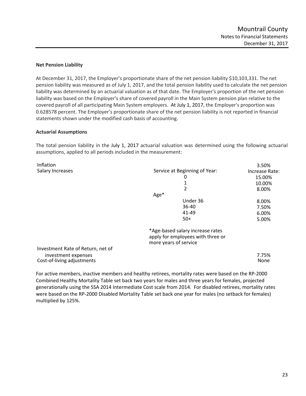## **Net Pension Liability**

At December 31, 2017, the Employer's proportionate share of the net pension liability \$10,103,331. The net pension liability was measured as of July 1, 2017, and the total pension liability used to calculate the net pension liability was determined by an actuarial valuation as of that date. The Employer's proportion of the net pension liability was based on the Employer's share of covered payroll in the Main System pension plan relative to the covered payroll of all participating Main System employers. At July 1, 2017, the Employer's proportion was 0.628578 percent. The Employer's proportionate share of the net pension liability is not reported in financial statements shown under the modified cash basis of accounting.

## **Actuarial Assumptions**

The total pension liability in the July 1, 2017 actuarial valuation was determined using the following actuarial assumptions, applied to all periods included in the measurement:

| Inflation                         |                                   | 3.50%          |
|-----------------------------------|-----------------------------------|----------------|
| Salary Increases                  | Service at Beginning of Year:     | Increase Rate: |
|                                   | 0                                 | 15.00%         |
|                                   |                                   | 10.00%         |
|                                   | 2                                 | 8.00%          |
|                                   | Age*                              |                |
|                                   | Under 36                          | 8.00%          |
|                                   | 36-40                             | 7.50%          |
|                                   | $41 - 49$                         | 6.00%          |
|                                   | $50+$                             | 5.00%          |
|                                   | *Age-based salary increase rates  |                |
|                                   | apply for employees with three or |                |
|                                   | more years of service             |                |
| Investment Rate of Return, net of |                                   |                |
| investment expenses               |                                   | 7.75%          |
| Cost-of-living adjustments        |                                   | None           |

For active members, inactive members and healthy retirees, mortality rates were based on the RP‐2000 Combined Healthy Mortality Table set back two years for males and three years for females, projected generationally using the SSA 2014 Intermediate Cost scale from 2014. For disabled retirees, mortality rates were based on the RP‐2000 Disabled Mortality Table set back one year for males (no setback for females) multiplied by 125%.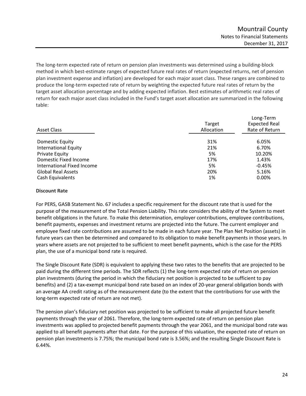The long‐term expected rate of return on pension plan investments was determined using a building‐block method in which best‐estimate ranges of expected future real rates of return (expected returns, net of pension plan investment expense and inflation) are developed for each major asset class. These ranges are combined to produce the long-term expected rate of return by weighting the expected future real rates of return by the target asset allocation percentage and by adding expected inflation. Best estimates of arithmetic real rates of return for each major asset class included in the Fund's target asset allocation are summarized in the following table:

| Asset Class                 | Target<br>Allocation | Long-Term<br><b>Expected Real</b><br>Rate of Return |
|-----------------------------|----------------------|-----------------------------------------------------|
| Domestic Equity             | 31%                  | 6.05%                                               |
| <b>International Equity</b> | 21%                  | 6.70%                                               |
| Private Equity              | 5%                   | 10.20%                                              |
| Domestic Fixed Income       | 17%                  | 1.43%                                               |
| International Fixed Income  | 5%                   | $-0.45%$                                            |
| <b>Global Real Assets</b>   | 20%                  | 5.16%                                               |
| Cash Equivalents            | 1%                   | 0.00%                                               |

## **Discount Rate**

For PERS, GASB Statement No. 67 includes a specific requirement for the discount rate that is used for the purpose of the measurement of the Total Pension Liability. This rate considers the ability of the System to meet benefit obligations in the future. To make this determination, employer contributions, employee contributions, benefit payments, expenses and investment returns are projected into the future. The current employer and employee fixed rate contributions are assumed to be made in each future year. The Plan Net Position (assets) in future years can then be determined and compared to its obligation to make benefit payments in those years. In years where assets are not projected to be sufficient to meet benefit payments, which is the case for the PERS plan, the use of a municipal bond rate is required.

The Single Discount Rate (SDR) is equivalent to applying these two rates to the benefits that are projected to be paid during the different time periods. The SDR reflects (1) the long-term expected rate of return on pension plan investments (during the period in which the fiduciary net position is projected to be sufficient to pay benefits) and (2) a tax‐exempt municipal bond rate based on an index of 20‐year general obligation bonds with an average AA credit rating as of the measurement date (to the extent that the contributions for use with the long‐term expected rate of return are not met).

The pension plan's fiduciary net position was projected to be sufficient to make all projected future benefit payments through the year of 2061. Therefore, the long-term expected rate of return on pension plan investments was applied to projected benefit payments through the year 2061, and the municipal bond rate was applied to all benefit payments after that date. For the purpose of this valuation, the expected rate of return on pension plan investments is 7.75%; the municipal bond rate is 3.56%; and the resulting Single Discount Rate is 6.44%.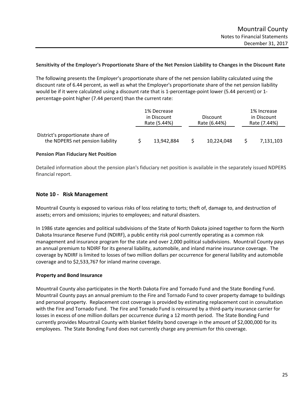### **Sensitivity of the Employer's Proportionate Share of the Net Pension Liability to Changes in the Discount Rate**

The following presents the Employer's proportionate share of the net pension liability calculated using the discount rate of 6.44 percent, as well as what the Employer's proportionate share of the net pension liability would be if it were calculated using a discount rate that is 1-percentage-point lower (5.44 percent) or 1percentage‐point higher (7.44 percent) than the current rate:

|                                                                       | 1% Decrease<br>in Discount<br>Rate (5.44%) |            | Discount<br>Rate (6.44%) |  | 1% Increase<br>in Discount<br>Rate (7.44%) |  |
|-----------------------------------------------------------------------|--------------------------------------------|------------|--------------------------|--|--------------------------------------------|--|
| District's proportionate share of<br>the NDPERS net pension liability |                                            | 13,942,884 | 10,224,048               |  | 7,131,103                                  |  |

#### **Pension Plan Fiduciary Net Position**

Detailed information about the pension plan's fiduciary net position is available in the separately issued NDPERS financial report.

#### **Note 10 ‐ Risk Management**

Mountrail County is exposed to various risks of loss relating to torts; theft of, damage to, and destruction of assets; errors and omissions; injuries to employees; and natural disasters.

In 1986 state agencies and political subdivisions of the State of North Dakota joined together to form the North Dakota Insurance Reserve Fund (NDIRF), a public entity risk pool currently operating as a common risk management and insurance program for the state and over 2,000 political subdivisions. Mountrail County pays an annual premium to NDIRF for its general liability, automobile, and inland marine insurance coverage. The coverage by NDIRF is limited to losses of two million dollars per occurrence for general liability and automobile coverage and to \$2,533,767 for inland marine coverage.

#### **Property and Bond Insurance**

Mountrail County also participates in the North Dakota Fire and Tornado Fund and the State Bonding Fund. Mountrail County pays an annual premium to the Fire and Tornado Fund to cover property damage to buildings and personal property. Replacement cost coverage is provided by estimating replacement cost in consultation with the Fire and Tornado Fund. The Fire and Tornado Fund is reinsured by a third-party insurance carrier for losses in excess of one million dollars per occurrence during a 12 month period. The State Bonding Fund currently provides Mountrail County with blanket fidelity bond coverage in the amount of \$2,000,000 for its employees. The State Bonding Fund does not currently charge any premium for this coverage.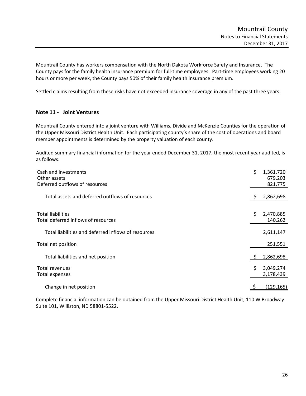Mountrail County has workers compensation with the North Dakota Workforce Safety and Insurance. The County pays for the family health insurance premium for full‐time employees. Part‐time employees working 20 hours or more per week, the County pays 50% of their family health insurance premium.

Settled claims resulting from these risks have not exceeded insurance coverage in any of the past three years.

## **Note 11 ‐ Joint Ventures**

Mountrail County entered into a joint venture with Williams, Divide and McKenzie Counties for the operation of the Upper Missouri District Health Unit. Each participating county's share of the cost of operations and board member appointments is determined by the property valuation of each county.

Audited summary financial information for the year ended December 31, 2017, the most recent year audited, is as follows:

| Cash and investments<br>Other assets<br>Deferred outflows of resources | \$<br>1,361,720<br>679,203<br>821,775 |
|------------------------------------------------------------------------|---------------------------------------|
| Total assets and deferred outflows of resources                        | 2,862,698                             |
| <b>Total liabilities</b><br>Total deferred inflows of resources        | \$<br>2,470,885<br>140,262            |
| Total liabilities and deferred inflows of resources                    | 2,611,147                             |
| Total net position                                                     | 251,551                               |
| Total liabilities and net position                                     | 2,862,698                             |
| Total revenues<br>Total expenses                                       | \$<br>3,049,274<br>3,178,439          |
| Change in net position                                                 | (129, 165)                            |

Complete financial information can be obtained from the Upper Missouri District Health Unit; 110 W Broadway Suite 101, Williston, ND 58801‐5522.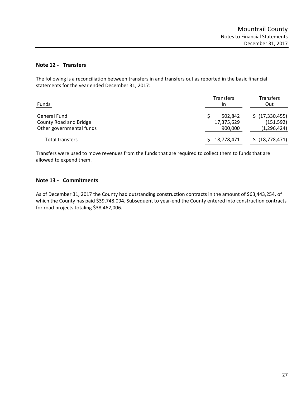# **Note 12 ‐ Transfers**

The following is a reconciliation between transfers in and transfers out as reported in the basic financial statements for the year ended December 31, 2017:

| Funds                    | <b>Transfers</b><br>In | <b>Transfers</b><br>Out |
|--------------------------|------------------------|-------------------------|
| General Fund             | 502.842                | \$ (17,330,455)         |
| County Road and Bridge   | 17,375,629             | (151, 592)              |
| Other governmental funds | 900,000                | (1, 296, 424)           |
| <b>Total transfers</b>   | 18,778,471             | \$ (18, 778, 471)       |

Transfers were used to move revenues from the funds that are required to collect them to funds that are allowed to expend them.

# **Note 13 ‐ Commitments**

As of December 31, 2017 the County had outstanding construction contracts in the amount of \$63,443,254, of which the County has paid \$39,748,094. Subsequent to year-end the County entered into construction contracts for road projects totaling \$38,462,006.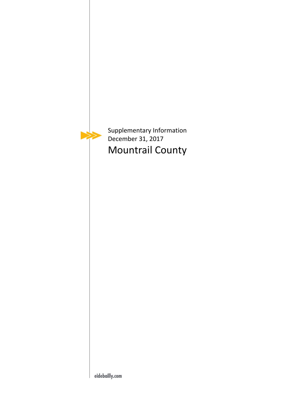

Supplementary Information December 31, 2017 Mountrail County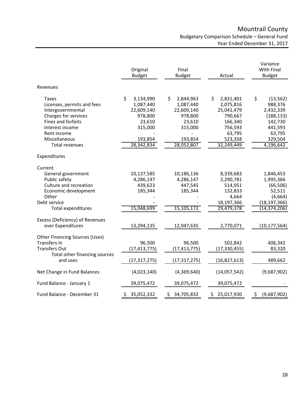# Mountrail County Budgetary Comparison Schedule – General Fund Year Ended December 31, 2017

|                                           | Original<br><b>Budget</b> | Final<br><b>Budget</b> | Actual          | Variance<br><b>With Final</b><br><b>Budget</b> |  |
|-------------------------------------------|---------------------------|------------------------|-----------------|------------------------------------------------|--|
| Revenues                                  |                           |                        |                 |                                                |  |
| Taxes                                     | \$<br>3,134,990           | \$<br>2,844,963        | \$<br>2,831,401 | \$<br>(13, 562)                                |  |
| Licenses, permits and fees                | 1,087,440                 | 1,087,440              | 2,075,816       | 988,376                                        |  |
| Intergovernmental                         | 22,609,140                | 22,609,140             | 25,041,479      | 2,432,339                                      |  |
| Charges for services                      | 978,800                   | 978,800                | 790,667         | (188, 133)                                     |  |
| Fines and forfeits                        | 23,610                    | 23,610                 | 166,340         | 142,730                                        |  |
| Interest income                           | 315,000                   | 315,000                | 756,593         | 441,593                                        |  |
| Rent income                               |                           |                        | 63,795          | 63,795                                         |  |
| Miscellaneous                             | 193,854                   | 193,854                | 523,358         | 329,504                                        |  |
| <b>Total revenues</b>                     | 28,342,834                | 28,052,807             | 32,249,449      | 4,196,642                                      |  |
| Expenditures                              |                           |                        |                 |                                                |  |
| Current                                   |                           |                        |                 |                                                |  |
| General government                        | 10,137,585                | 10,186,136             | 8,339,683       | 1,846,453                                      |  |
| Public safety                             | 4,286,147                 | 4,286,147              | 2,290,781       | 1,995,366                                      |  |
| Culture and recreation                    | 439,623                   | 447,545                | 514,051         | (66, 506)                                      |  |
| Economic development                      | 185,344                   | 185,344                | 132,833         | 52,511                                         |  |
| Other                                     |                           |                        | 4,664           | (4,664)                                        |  |
| Debt service                              |                           |                        | 18,197,366      | (18, 197, 366)                                 |  |
| Total expenditures                        | 15,048,699                | 15,105,172             | 29,479,378      | (14, 374, 206)                                 |  |
| Excess (Deficiency) of Revenues           |                           |                        |                 |                                                |  |
| over Expenditures                         | 13,294,135                | 12,947,635             | 2,770,071       | (10, 177, 564)                                 |  |
| <b>Other Financing Sources (Uses)</b>     |                           |                        |                 |                                                |  |
| <b>Transfers In</b>                       | 96,500                    | 96,500                 | 502,842         | 406,342                                        |  |
| <b>Transfers Out</b>                      | (17,413,775)              | (17, 413, 775)         | (17, 330, 455)  | 83,320                                         |  |
| Total other financing sources<br>and uses | (17,317,275)              | (17, 317, 275)         | (16, 827, 613)  | 489,662                                        |  |
| Net Change in Fund Balances               | (4,023,140)               | (4,369,640)            | (14,057,542)    | (9,687,902)                                    |  |
| Fund Balance - January 1                  | 39,075,472                | 39,075,472             | 39,075,472      |                                                |  |
| Fund Balance - December 31                | \$35,052,332              | \$ 34,705,832          | \$25,017,930    | (9,687,902)<br>$\varsigma$                     |  |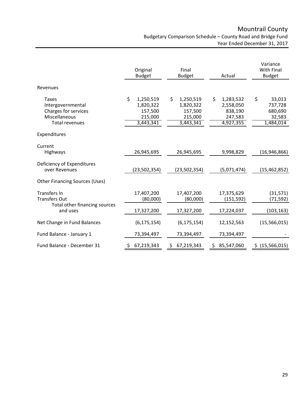|                                                                                              | Original<br><b>Budget</b>                                       | Final<br><b>Budget</b>                                          | Actual                                                          | Variance<br>With Final<br><b>Budget</b>                   |  |
|----------------------------------------------------------------------------------------------|-----------------------------------------------------------------|-----------------------------------------------------------------|-----------------------------------------------------------------|-----------------------------------------------------------|--|
| Revenues                                                                                     |                                                                 |                                                                 |                                                                 |                                                           |  |
| Taxes<br>Intergovernmental<br>Charges for services<br>Miscellaneous<br><b>Total revenues</b> | \$<br>1,250,519<br>1,820,322<br>157,500<br>215,000<br>3,443,341 | \$<br>1,250,519<br>1,820,322<br>157,500<br>215,000<br>3,443,341 | \$<br>1,283,532<br>2,558,050<br>838,190<br>247,583<br>4,927,355 | \$<br>33,013<br>737,728<br>680,690<br>32,583<br>1,484,014 |  |
| Expenditures                                                                                 |                                                                 |                                                                 |                                                                 |                                                           |  |
| Current<br><b>Highways</b>                                                                   | 26,945,695                                                      | 26,945,695                                                      | 9,998,829                                                       | (16, 946, 866)                                            |  |
| Deficiency of Expenditures<br>over Revenues                                                  | (23,502,354)                                                    | (23,502,354)                                                    | (5,071,474)                                                     | (15, 462, 852)                                            |  |
| <b>Other Financing Sources (Uses)</b>                                                        |                                                                 |                                                                 |                                                                 |                                                           |  |
| Transfers In<br><b>Transfers Out</b>                                                         | 17,407,200<br>(80,000)                                          | 17,407,200<br>(80,000)                                          | 17,375,629<br>(151, 592)                                        | (31, 571)<br>(71, 592)                                    |  |
| Total other financing sources<br>and uses                                                    | 17,327,200                                                      | 17,327,200                                                      | 17,224,037                                                      | (103, 163)                                                |  |
| Net Change in Fund Balances                                                                  | (6, 175, 154)                                                   | (6, 175, 154)                                                   | 12,152,563                                                      | (15,566,015)                                              |  |
| Fund Balance - January 1                                                                     | 73,394,497                                                      | 73,394,497                                                      | 73,394,497                                                      |                                                           |  |
| Fund Balance - December 31                                                                   | 67,219,343<br>Ş.                                                | 67,219,343                                                      | 85,547,060                                                      | (15, 566, 015)<br>S.                                      |  |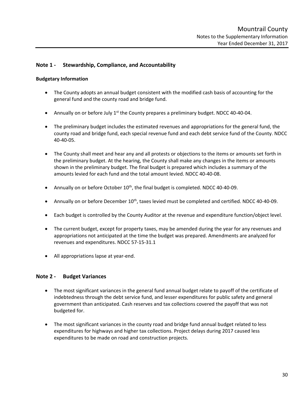# **Note 1 ‐ Stewardship, Compliance, and Accountability**

#### **Budgetary Information**

- The County adopts an annual budget consistent with the modified cash basis of accounting for the general fund and the county road and bridge fund.
- Annually on or before July  $1<sup>st</sup>$  the County prepares a preliminary budget. NDCC 40-40-04.
- The preliminary budget includes the estimated revenues and appropriations for the general fund, the county road and bridge fund, each special revenue fund and each debt service fund of the County. NDCC 40‐40‐05.
- The County shall meet and hear any and all protests or objections to the items or amounts set forth in the preliminary budget. At the hearing, the County shall make any changes in the items or amounts shown in the preliminary budget. The final budget is prepared which includes a summary of the amounts levied for each fund and the total amount levied. NDCC 40‐40‐08.
- Annually on or before October  $10^{th}$ , the final budget is completed. NDCC 40-40-09.
- Annually on or before December  $10^{th}$ , taxes levied must be completed and certified. NDCC 40-40-09.
- Each budget is controlled by the County Auditor at the revenue and expenditure function/object level.
- The current budget, except for property taxes, may be amended during the year for any revenues and appropriations not anticipated at the time the budget was prepared. Amendments are analyzed for revenues and expenditures. NDCC 57‐15‐31.1
- All appropriations lapse at year-end.

## **Note 2 ‐ Budget Variances**

- The most significant variances in the general fund annual budget relate to payoff of the certificate of indebtedness through the debt service fund, and lesser expenditures for public safety and general government than anticipated. Cash reserves and tax collections covered the payoff that was not budgeted for.
- The most significant variances in the county road and bridge fund annual budget related to less expenditures for highways and higher tax collections. Project delays during 2017 caused less expenditures to be made on road and construction projects.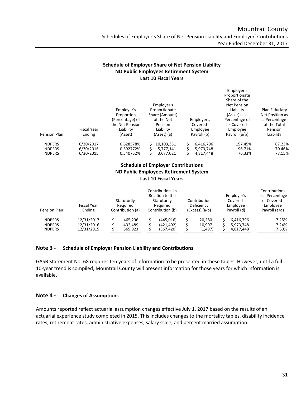Employer's

# **Schedule of Employer Share of Net Pension Liability ND Public Employees Retirement System Last 10 Fiscal Years**

| Pension Plan  | <b>Fiscal Year</b><br>Ending | Employer's<br>Proportion<br>(Percentage) of<br>the Net Pension<br>Liability<br>(Asset) | Employer's<br>Proportionate<br>Share (Amount)<br>of the Net<br>Pension<br>Liability<br>(Asset) (a) | Employer's<br>Covered-<br>Employee<br>Payroll (b) | Proportionate<br>Share of the<br><b>Net Pension</b><br>Liability<br>(Asset) as a<br>Percentage of<br>its Covered-<br>Employee<br>Payroll (a/b) | Plan Fiduciary<br>Net Position as<br>a Percentage<br>of the Total<br>Pension<br>Liability |
|---------------|------------------------------|----------------------------------------------------------------------------------------|----------------------------------------------------------------------------------------------------|---------------------------------------------------|------------------------------------------------------------------------------------------------------------------------------------------------|-------------------------------------------------------------------------------------------|
| <b>NDPERS</b> | 6/30/2017                    | 0.628578%                                                                              | 10,103,331                                                                                         | 6,416,796                                         | 157.45%                                                                                                                                        | 87.23%                                                                                    |
| <b>NDPERS</b> | 6/30/2016                    | 0.592772%                                                                              | 5,777,141                                                                                          | 5,973,748                                         | 96.71%                                                                                                                                         | 70.46%                                                                                    |
|               |                              |                                                                                        |                                                                                                    |                                                   |                                                                                                                                                |                                                                                           |
| <b>NDPERS</b> | 6/30/2015                    | 0.540752%                                                                              | 3,677,021                                                                                          | 4,817,448                                         | 76.33%                                                                                                                                         | 77.15%                                                                                    |

# **Schedule of Employer Contributions ND Public Employees Retirement System Last 10 Fiscal Years**

| Pension Plan  | <b>Fiscal Year</b><br>Ending | Statutorily<br>Required<br>Contribution (a) | Contributions in<br>Relation to the<br>Statutorily<br>Required<br>Contribution (b) | Contribution<br>Deficiency<br>(Excess) (a-b) | Employer's<br>Covered-<br>Employee<br>Payroll (d) | Contributions<br>as a Percentage<br>of Covered-<br>Employee<br>Payroll (a/d) |
|---------------|------------------------------|---------------------------------------------|------------------------------------------------------------------------------------|----------------------------------------------|---------------------------------------------------|------------------------------------------------------------------------------|
| <b>NDPERS</b> | 12/31/2017                   | 465.296                                     | (445.016)                                                                          | 20.280                                       | 6.416.796                                         | 7.25%                                                                        |
| <b>NDPERS</b> | 12/31/2016                   | 432.489                                     | (421.492)                                                                          | 10,997                                       | 5,973,748                                         | 7.24%                                                                        |
| <b>NDPERS</b> | 12/31/2015                   | 365,923                                     | (367,420)                                                                          | (1, 497)                                     | 4,817,448                                         | 7.60%                                                                        |

# **Note 3 ‐ Schedule of Employer Pension Liability and Contributions**

GASB Statement No. 68 requires ten years of information to be presented in these tables. However, until a full 10‐year trend is compiled, Mountrail County will present information for those years for which information is available.

# **Note 4 ‐ Changes of Assumptions**

Amounts reported reflect actuarial assumption changes effective July 1, 2017 based on the results of an actuarial experience study completed in 2015. This includes changes to the mortality tables, disability incidence rates, retirement rates, administrative expenses, salary scale, and percent married assumption.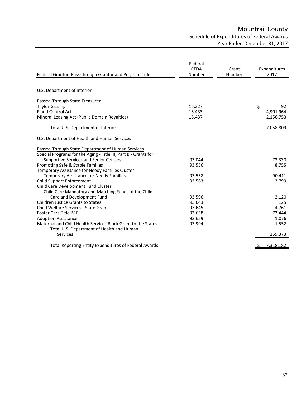# Mountrail County Schedule of Expenditures of Federal Awards Year Ended December 31, 2017

| Federal Grantor, Pass-through Grantor and Program Title         | Federal<br><b>CFDA</b><br>Number | Grant<br>Number | Expenditures<br>2017 |
|-----------------------------------------------------------------|----------------------------------|-----------------|----------------------|
|                                                                 |                                  |                 |                      |
| U.S. Department of Interior                                     |                                  |                 |                      |
| Passed-Through State Treasurer                                  |                                  |                 |                      |
| <b>Taylor Grazing</b>                                           | 15.227                           |                 | \$<br>92             |
| <b>Flood Control Act</b>                                        | 15.433                           |                 | 4,901,964            |
| Mineral Leasing Act (Public Domain Royalties)                   | 15.437                           |                 | 2,156,753            |
| Total U.S. Department of Interior                               |                                  |                 | 7,058,809            |
| U.S. Department of Health and Human Services                    |                                  |                 |                      |
| Passed-Through State Department of Human Services               |                                  |                 |                      |
| Special Programs for the Aging - Title III, Part B - Grants for |                                  |                 |                      |
| <b>Supportive Services and Senior Centers</b>                   | 93.044                           |                 | 73,330               |
| Promoting Safe & Stable Families                                | 93.556                           |                 | 8,755                |
| Temporary Assistance for Needy Families Cluster                 |                                  |                 |                      |
| <b>Temporary Assistance for Needy Families</b>                  | 93.558                           |                 | 90,411               |
| <b>Child Support Enforcement</b>                                | 93.563                           |                 | 3,799                |
| Child Care Development Fund Cluster                             |                                  |                 |                      |
| Child Care Mandatory and Matching Funds of the Child            |                                  |                 |                      |
| Care and Development Fund                                       | 93.596                           |                 | 2,120                |
| <b>Children Justice Grants to States</b>                        | 93.643                           |                 | 125                  |
| <b>Child Welfare Services - State Grants</b>                    | 93.645                           |                 | 4,761                |
| <b>Foster Care Title IV-E</b>                                   | 93.658                           |                 | 73,444               |
| <b>Adoption Assistance</b>                                      | 93.659                           |                 | 1,076                |
| Maternal and Child Health Services Block Grant to the States    | 93.994                           |                 | 1,552                |
| Total U.S. Department of Health and Human<br><b>Services</b>    |                                  |                 | 259,373              |
| <b>Total Reporting Entity Expenditures of Federal Awards</b>    |                                  |                 | 7,318,182<br>-S      |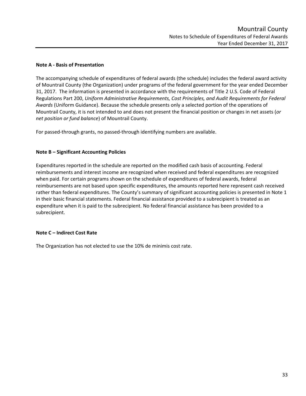# **Note A ‐ Basis of Presentation**

The accompanying schedule of expenditures of federal awards (the schedule) includes the federal award activity of Mountrail County (the Organization) under programs of the federal government for the year ended December 31, 2017. The information is presented in accordance with the requirements of Title 2 U.S. Code of Federal Regulations Part 200, *Uniform Administrative Requirements, Cost Principles, and Audit Requirements for Federal Awards* (Uniform Guidance). Because the schedule presents only a selected portion of the operations of Mountrail County, it is not intended to and does not present the financial position or changes in net assets (*or net position or fund balance*) of Mountrail County.

For passed‐through grants, no passed‐through identifying numbers are available.

# **Note B – Significant Accounting Policies**

Expenditures reported in the schedule are reported on the modified cash basis of accounting. Federal reimbursements and interest income are recognized when received and federal expenditures are recognized when paid. For certain programs shown on the schedule of expenditures of federal awards, federal reimbursements are not based upon specific expenditures, the amounts reported here represent cash received rather than federal expenditures. The County's summary of significant accounting policies is presented in Note 1 in their basic financial statements. Federal financial assistance provided to a subrecipient is treated as an expenditure when it is paid to the subrecipient. No federal financial assistance has been provided to a subrecipient.

# **Note C – Indirect Cost Rate**

The Organization has not elected to use the 10% de minimis cost rate.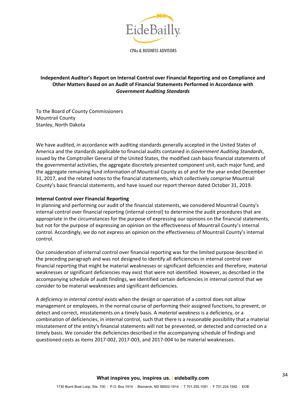

**CPAs & BUSINESS ADVISORS** 

# **Independent Auditor's Report on Internal Control over Financial Reporting and on Compliance and Other Matters Based on an Audit of Financial Statements Performed in Accordance with**  *Government Auditing Standards*

To the Board of County Commissioners Mountrail County Stanley, North Dakota

We have audited, in accordance with auditing standards generally accepted in the United States of America and the standards applicable to financial audits contained in *Government Auditing Standards*, issued by the Comptroller General of the United States, the modified cash basis financial statements of the governmental activities, the aggregate discretely presented component unit, each major fund, and the aggregate remaining fund information of Mountrail County as of and for the year ended December 31, 2017, and the related notes to the financial statements, which collectively comprise Mountrail County's basic financial statements, and have issued our report thereon dated October 31, 2019.

## **Internal Control over Financial Reporting**

In planning and performing our audit of the financial statements, we considered Mountrail County's internal control over financial reporting (internal control) to determine the audit procedures that are appropriate in the circumstances for the purpose of expressing our opinions on the financial statements, but not for the purpose of expressing an opinion on the effectiveness of Mountrail County's internal control. Accordingly, we do not express an opinion on the effectiveness of Mountrail County's internal control.

Our consideration of internal control over financial reporting was for the limited purpose described in the preceding paragraph and was not designed to identify all deficiencies in internal control over financial reporting that might be material weaknesses or significant deficiencies and therefore, material weaknesses or significant deficiencies may exist that were not identified. However, as described in the accompanying schedule of audit findings, we identified certain deficiencies in internal control that we consider to be material weaknesses and significant deficiencies.

A *deficiency in internal control* exists when the design or operation of a control does not allow management or employees, in the normal course of performing their assigned functions, to prevent, or detect and correct, misstatements on a timely basis. A *material weakness* is a deficiency, or a combination of deficiencies, in internal control, such that there is a reasonable possibility that a material misstatement of the entity's financial statements will not be prevented, or detected and corrected on a timely basis. We consider the deficiencies described in the accompanying schedule of findings and questioned costs as items 2017‐002, 2017‐003, and 2017‐004 to be material weaknesses.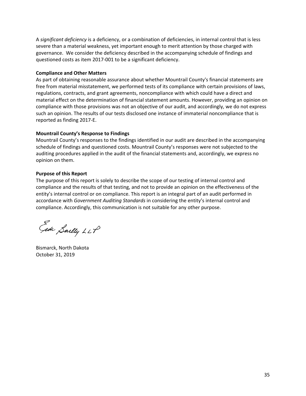A *significant deficiency* is a deficiency, or a combination of deficiencies, in internal control that is less severe than a material weakness, yet important enough to merit attention by those charged with governance. We consider the deficiency described in the accompanying schedule of findings and questioned costs as item 2017‐001 to be a significant deficiency.

## **Compliance and Other Matters**

As part of obtaining reasonable assurance about whether Mountrail County's financial statements are free from material misstatement, we performed tests of its compliance with certain provisions of laws, regulations, contracts, and grant agreements, noncompliance with which could have a direct and material effect on the determination of financial statement amounts. However, providing an opinion on compliance with those provisions was not an objective of our audit, and accordingly, we do not express such an opinion. The results of our tests disclosed one instance of immaterial noncompliance that is reported as finding 2017‐E.

# **Mountrail County's Response to Findings**

Mountrail County's responses to the findings identified in our audit are described in the accompanying schedule of findings and questioned costs. Mountrail County's responses were not subjected to the auditing procedures applied in the audit of the financial statements and, accordingly, we express no opinion on them.

# **Purpose of this Report**

The purpose of this report is solely to describe the scope of our testing of internal control and compliance and the results of that testing, and not to provide an opinion on the effectiveness of the entity's internal control or on compliance. This report is an integral part of an audit performed in accordance with *Government Auditing Standards* in considering the entity's internal control and compliance. Accordingly, this communication is not suitable for any other purpose.

Ede Sailly LLP

Bismarck, North Dakota October 31, 2019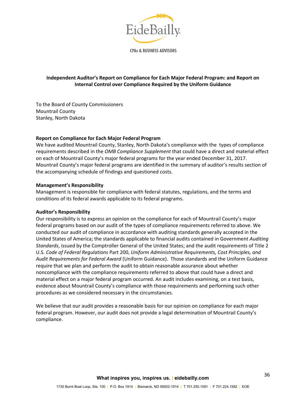

**CPAs & BUSINESS ADVISORS** 

# **Independent Auditor's Report on Compliance for Each Major Federal Program: and Report on Internal Control over Compliance Required by the Uniform Guidance**

To the Board of County Commissioners Mountrail County Stanley, North Dakota

## **Report on Compliance for Each Major Federal Program**

We have audited Mountrail County, Stanley, North Dakota's compliance with the types of compliance requirements described in the *OMB Compliance Supplement* that could have a direct and material effect on each of Mountrail County's major federal programs for the year ended December 31, 2017. Mountrail County's major federal programs are identified in the summary of auditor's results section of the accompanying schedule of findings and questioned costs.

## **Management's Responsibility**

Management is responsible for compliance with federal statutes, regulations, and the terms and conditions of its federal awards applicable to its federal programs.

## **Auditor's Responsibility**

Our responsibility is to express an opinion on the compliance for each of Mountrail County's major federal programs based on our audit of the types of compliance requirements referred to above. We conducted our audit of compliance in accordance with auditing standards generally accepted in the United States of America; the standards applicable to financial audits contained in Government *Auditing Standards*, issued by the Comptroller General of the United States; and the audit requirements of Title 2 U.S. *Code of Federal Regulations* Part 200, *Uniform Administrative Requirements, Cost Principles, and Audit Requirements for Federal Award* (Uniform Guidance). Those standards and the Uniform Guidance require that we plan and perform the audit to obtain reasonable assurance about whether noncompliance with the compliance requirements referred to above that could have a direct and material effect on a major federal program occurred. An audit includes examining, on a test basis, evidence about Mountrail County's compliance with those requirements and performing such other procedures as we considered necessary in the circumstances.

We believe that our audit provides a reasonable basis for our opinion on compliance for each major federal program. However, our audit does not provide a legal determination of Mountrail County's compliance.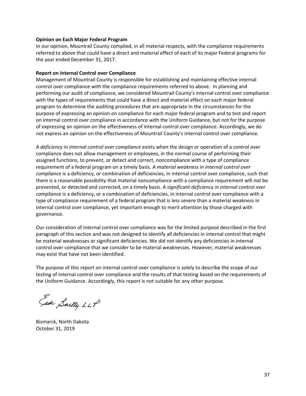#### **Opinion on Each Major Federal Program**

In our opinion, Mountrail County complied, in all material respects, with the compliance requirements referred to above that could have a direct and material effect of each of its major Federal programs for the year ended December 31, 2017.

#### **Report on Internal Control over Compliance**

Management of Mountrail County is responsible for establishing and maintaining effective internal control over compliance with the compliance requirements referred to above. In planning and performing our audit of compliance, we considered Mountrail County's internal control over compliance with the types of requirements that could have a direct and material effect on each major federal program to determine the auditing procedures that are appropriate in the circumstances for the purpose of expressing an opinion on compliance for each major federal program and to test and report on internal control over compliance in accordance with the Uniform Guidance, but not for the purpose of expressing an opinion on the effectiveness of internal control over compliance. Accordingly, we do not express an opinion on the effectiveness of Mountrail County's internal control over compliance.

*A deficiency in internal control over compliance* exists when the design or operation of a control over compliance does not allow management or employees, in the normal course of performing their assigned functions, to prevent, or detect and correct, noncompliance with a type of compliance requirement of a federal program on a timely basis. *A material weakness in internal control over compliance* is a deficiency, or combination of deficiencies, in internal control over compliance, such that there is a reasonable possibility that material noncompliance with a compliance requirement will not be prevented, or detected and corrected, on a timely basis. *A significant deficiency in internal control over compliance* is a deficiency, or a combination of deficiencies, in internal control over compliance with a type of compliance requirement of a federal program that is less severe than a material weakness in internal control over compliance, yet important enough to merit attention by those charged with governance.

Our consideration of internal control over compliance was for the limited purpose described in the first paragraph of this section and was not designed to identify all deficiencies in internal control that might be material weaknesses or significant deficiencies. We did not identify any deficiencies in internal control over compliance that we consider to be material weaknesses. However, material weaknesses may exist that have not been identified.

The purpose of this report on internal control over compliance is solely to describe the scope of our testing of internal control over compliance and the results of that testing based on the requirements of the Uniform Guidance. Accordingly, this report is not suitable for any other purpose.

Ede Sailly LLP

Bismarck, North Dakota October 31, 2019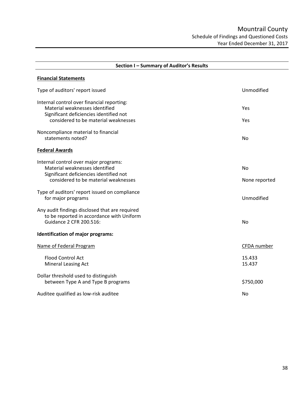| Section I - Summary of Auditor's Results                                                                                                                        |                            |  |  |  |
|-----------------------------------------------------------------------------------------------------------------------------------------------------------------|----------------------------|--|--|--|
| <b>Financial Statements</b>                                                                                                                                     |                            |  |  |  |
| Type of auditors' report issued                                                                                                                                 | Unmodified                 |  |  |  |
| Internal control over financial reporting:<br>Material weaknesses identified<br>Significant deficiencies identified not<br>considered to be material weaknesses | Yes<br>Yes                 |  |  |  |
| Noncompliance material to financial<br>statements noted?                                                                                                        | No                         |  |  |  |
| <b>Federal Awards</b>                                                                                                                                           |                            |  |  |  |
| Internal control over major programs:<br>Material weaknesses identified<br>Significant deficiencies identified not<br>considered to be material weaknesses      | <b>No</b><br>None reported |  |  |  |
| Type of auditors' report issued on compliance<br>for major programs                                                                                             | Unmodified                 |  |  |  |
| Any audit findings disclosed that are required<br>to be reported in accordance with Uniform<br>Guidance 2 CFR 200.516:<br>Identification of major programs:     | <b>No</b>                  |  |  |  |
| Name of Federal Program                                                                                                                                         | CFDA number                |  |  |  |
| Flood Control Act<br><b>Mineral Leasing Act</b>                                                                                                                 | 15.433<br>15.437           |  |  |  |
| Dollar threshold used to distinguish<br>between Type A and Type B programs                                                                                      | \$750,000                  |  |  |  |
| Auditee qualified as low-risk auditee                                                                                                                           | No                         |  |  |  |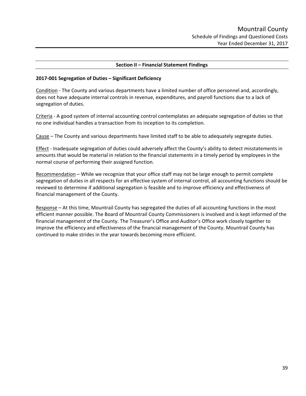#### **Section II – Financial Statement Findings**

#### **2017‐001 Segregation of Duties – Significant Deficiency**

Condition ‐ The County and various departments have a limited number of office personnel and, accordingly, does not have adequate internal controls in revenue, expenditures, and payroll functions due to a lack of segregation of duties.

Criteria ‐ A good system of internal accounting control contemplates an adequate segregation of duties so that no one individual handles a transaction from its inception to its completion.

Cause – The County and various departments have limited staff to be able to adequately segregate duties.

Effect - Inadequate segregation of duties could adversely affect the County's ability to detect misstatements in amounts that would be material in relation to the financial statements in a timely period by employees in the normal course of performing their assigned function.

Recommendation – While we recognize that your office staff may not be large enough to permit complete segregation of duties in all respects for an effective system of internal control, all accounting functions should be reviewed to determine if additional segregation is feasible and to improve efficiency and effectiveness of financial management of the County.

Response – At this time, Mountrail County has segregated the duties of all accounting functions in the most efficient manner possible. The Board of Mountrail County Commissioners is involved and is kept informed of the financial management of the County. The Treasurer's Office and Auditor's Office work closely together to improve the efficiency and effectiveness of the financial management of the County. Mountrail County has continued to make strides in the year towards becoming more efficient.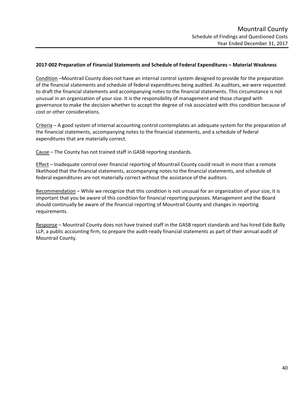# **2017‐002 Preparation of Financial Statements and Schedule of Federal Expenditures – Material Weakness**

Condition –Mountrail County does not have an internal control system designed to provide for the preparation of the financial statements and schedule of federal expenditures being audited. As auditors, we were requested to draft the financial statements and accompanying notes to the financial statements. This circumstance is not unusual in an organization of your size. It is the responsibility of management and those charged with governance to make the decision whether to accept the degree of risk associated with this condition because of cost or other considerations.

Criteria – A good system of internal accounting control contemplates an adequate system for the preparation of the financial statements, accompanying notes to the financial statements, and a schedule of federal expenditures that are materially correct.

Cause – The County has not trained staff in GASB reporting standards.

Effect – Inadequate control over financial reporting of Mountrail County could result in more than a remote likelihood that the financial statements, accompanying notes to the financial statements, and schedule of federal expenditures are not materially correct without the assistance of the auditors.

Recommendation – While we recognize that this condition is not unusual for an organization of your size, it is important that you be aware of this condition for financial reporting purposes. Management and the Board should continually be aware of the financial reporting of Mountrail County and changes in reporting requirements.

Response – Mountrail County does not have trained staff in the GASB report standards and has hired Eide Bailly LLP, a public accounting firm, to prepare the audit‐ready financial statements as part of their annual audit of Mountrail County.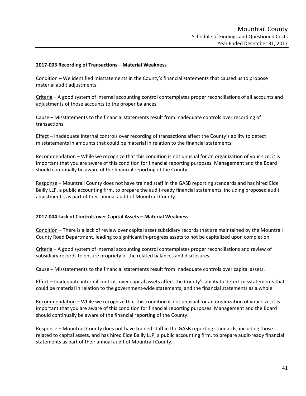#### **2017‐003 Recording of Transactions – Material Weakness**

Condition – We identified misstatements in the County's financial statements that caused us to propose material audit adjustments.

Criteria – A good system of internal accounting control contemplates proper reconciliations of all accounts and adjustments of those accounts to the proper balances.

Cause – Misstatements to the financial statements result from inadequate controls over recording of transactions.

Effect – Inadequate internal controls over recording of transactions affect the County's ability to detect misstatements in amounts that could be material in relation to the financial statements.

Recommendation – While we recognize that this condition is not unusual for an organization of your size, it is important that you are aware of this condition for financial reporting purposes. Management and the Board should continually be aware of the financial reporting of the County.

Response – Mountrail County does not have trained staff in the GASB reporting standards and has hired Eide Bailly LLP, a public accounting firm, to prepare the audit-ready financial statements, including proposed audit adjustments, as part of their annual audit of Mountrail County.

#### **2017‐004 Lack of Controls over Capital Assets – Material Weakness**

Condition – There is a lack of review over capital asset subsidiary records that are maintained by the Mountrail County Road Department, leading to significant in‐progress assets to not be capitalized upon completion.

Criteria – A good system of internal accounting control contemplates proper reconciliations and review of subsidiary records to ensure propriety of the related balances and disclosures.

Cause – Misstatements to the financial statements result from inadequate controls over capital assets.

Effect – Inadequate internal controls over capital assets affect the County's ability to detect misstatements that could be material in relation to the government-wide statements, and the financial statements as a whole.

Recommendation – While we recognize that this condition is not unusual for an organization of your size, it is important that you are aware of this condition for financial reporting purposes. Management and the Board should continually be aware of the financial reporting of the County.

Response – Mountrail County does not have trained staff in the GASB reporting standards, including those related to capital assets, and has hired Eide Bailly LLP, a public accounting firm, to prepare audit‐ready financial statements as part of their annual audit of Mountrail County.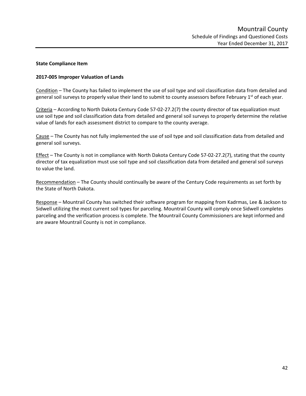# **State Compliance Item**

# **2017‐005 Improper Valuation of Lands**

Condition – The County has failed to implement the use of soil type and soil classification data from detailed and general soil surveys to properly value their land to submit to county assessors before February  $1<sup>st</sup>$  of each year.

Criteria – According to North Dakota Century Code 57‐02‐27.2(7) the county director of tax equalization must use soil type and soil classification data from detailed and general soil surveys to properly determine the relative value of lands for each assessment district to compare to the county average.

Cause – The County has not fully implemented the use of soil type and soil classification data from detailed and general soil surveys.

Effect – The County is not in compliance with North Dakota Century Code 57‐02‐27.2(7), stating that the county director of tax equalization must use soil type and soil classification data from detailed and general soil surveys to value the land.

Recommendation – The County should continually be aware of the Century Code requirements as set forth by the State of North Dakota.

Response – Mountrail County has switched their software program for mapping from Kadrmas, Lee & Jackson to Sidwell utilizing the most current soil types for parceling. Mountrail County will comply once Sidwell completes parceling and the verification process is complete. The Mountrail County Commissioners are kept informed and are aware Mountrail County is not in compliance.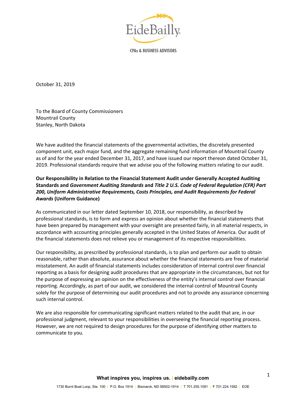

**CPAs & BUSINESS ADVISORS** 

October 31, 2019

To the Board of County Commissioners Mountrail County Stanley, North Dakota

We have audited the financial statements of the governmental activities, the discretely presented component unit, each major fund, and the aggregate remaining fund information of Mountrail County as of and for the year ended December 31, 2017*,* and have issued our report thereon dated October 31, 2019. Professional standards require that we advise you of the following matters relating to our audit.

# **Our Responsibility in Relation to the Financial Statement Audit under Generally Accepted Auditing Standards and** *Government Auditing Standards* **and** *Title 2 U.S. Code of Federal Regulation (CFR) Part 200, Uniform Administrative Requirements, Costs Principles, and Audit Requirements for Federal Awards* **(Uniform Guidance)**

As communicated in our letter dated September 10, 2018, our responsibility, as described by professional standards, is to form and express an opinion about whether the financial statements that have been prepared by management with your oversight are presented fairly, in all material respects, in accordance with accounting principles generally accepted in the United States of America. Our audit of the financial statements does not relieve you or management of its respective responsibilities.

Our responsibility, as prescribed by professional standards, is to plan and perform our audit to obtain reasonable, rather than absolute, assurance about whether the financial statements are free of material misstatement. An audit of financial statements includes consideration of internal control over financial reporting as a basis for designing audit procedures that are appropriate in the circumstances, but not for the purpose of expressing an opinion on the effectiveness of the entity's internal control over financial reporting. Accordingly, as part of our audit, we considered the internal control of Mountrail County solely for the purpose of determining our audit procedures and not to provide any assurance concerning such internal control.

We are also responsible for communicating significant matters related to the audit that are, in our professional judgment, relevant to your responsibilities in overseeing the financial reporting process. However, we are not required to design procedures for the purpose of identifying other matters to communicate to you.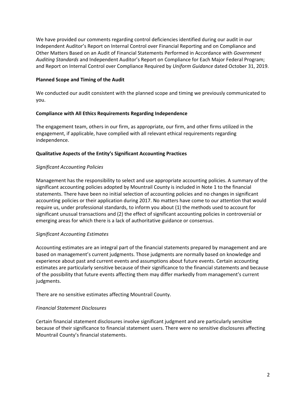We have provided our comments regarding control deficiencies identified during our audit in our Independent Auditor's Report on Internal Control over Financial Reporting and on Compliance and Other Matters Based on an Audit of Financial Statements Performed in Accordance with *Government Auditing Standards* and Independent Auditor's Report on Compliance for Each Major Federal Program; and Report on Internal Control over Compliance Required by *Uniform Guidance* dated October 31, 2019.

## **Planned Scope and Timing of the Audit**

We conducted our audit consistent with the planned scope and timing we previously communicated to you.

# **Compliance with All Ethics Requirements Regarding Independence**

The engagement team, others in our firm, as appropriate, our firm, and other firms utilized in the engagement, if applicable, have complied with all relevant ethical requirements regarding independence.

# **Qualitative Aspects of the Entity's Significant Accounting Practices**

# *Significant Accounting Policies*

Management has the responsibility to select and use appropriate accounting policies. A summary of the significant accounting policies adopted by Mountrail County is included in Note 1 to the financial statements. There have been no initial selection of accounting policies and no changes in significant accounting policies or their application during 2017. No matters have come to our attention that would require us, under professional standards, to inform you about (1) the methods used to account for significant unusual transactions and (2) the effect of significant accounting policies in controversial or emerging areas for which there is a lack of authoritative guidance or consensus.

# *Significant Accounting Estimates*

Accounting estimates are an integral part of the financial statements prepared by management and are based on management's current judgments. Those judgments are normally based on knowledge and experience about past and current events and assumptions about future events. Certain accounting estimates are particularly sensitive because of their significance to the financial statements and because of the possibility that future events affecting them may differ markedly from management's current judgments.

There are no sensitive estimates affecting Mountrail County.

# *Financial Statement Disclosures*

Certain financial statement disclosures involve significant judgment and are particularly sensitive because of their significance to financial statement users. There were no sensitive disclosures affecting Mountrail County's financial statements.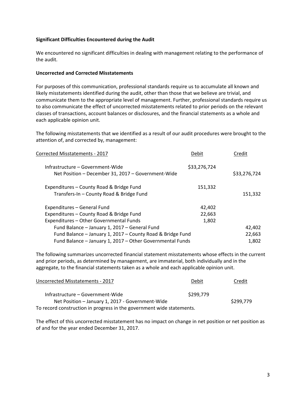### **Significant Difficulties Encountered during the Audit**

We encountered no significant difficulties in dealing with management relating to the performance of the audit.

#### **Uncorrected and Corrected Misstatements**

For purposes of this communication, professional standards require us to accumulate all known and likely misstatements identified during the audit, other than those that we believe are trivial, and communicate them to the appropriate level of management. Further, professional standards require us to also communicate the effect of uncorrected misstatements related to prior periods on the relevant classes of transactions, account balances or disclosures, and the financial statements as a whole and each applicable opinion unit.

The following misstatements that we identified as a result of our audit procedures were brought to the attention of, and corrected by, management:

| Corrected Misstatements - 2017                                                         | Debit        | Credit       |
|----------------------------------------------------------------------------------------|--------------|--------------|
| Infrastructure – Government-Wide<br>Net Position - December 31, 2017 - Government-Wide | \$33,276,724 | \$33,276,724 |
| Expenditures - County Road & Bridge Fund<br>Transfers-In - County Road & Bridge Fund   | 151,332      | 151,332      |
| Expenditures - General Fund                                                            | 42,402       |              |
| Expenditures - County Road & Bridge Fund                                               | 22,663       |              |
| Expenditures - Other Governmental Funds                                                | 1,802        |              |
| Fund Balance - January 1, 2017 - General Fund                                          |              | 42,402       |
| Fund Balance - January 1, 2017 - County Road & Bridge Fund                             |              | 22,663       |
| Fund Balance - January 1, 2017 - Other Governmental Funds                              |              | 1,802        |

The following summarizes uncorrected financial statement misstatements whose effects in the current and prior periods, as determined by management, are immaterial, both individually and in the aggregate, to the financial statements taken as a whole and each applicable opinion unit.

| Uncorrected Misstatements - 2017                                      | Debit     | Credit    |
|-----------------------------------------------------------------------|-----------|-----------|
| Infrastructure - Government-Wide                                      | \$299,779 |           |
| Net Position - January 1, 2017 - Government-Wide                      |           | \$299,779 |
| To record construction in progress in the government wide statements. |           |           |

The effect of this uncorrected misstatement has no impact on change in net position or net position as of and for the year ended December 31, 2017.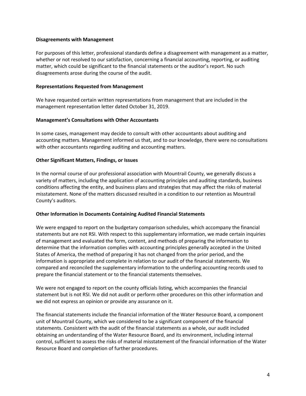### **Disagreements with Management**

For purposes of this letter, professional standards define a disagreement with management as a matter, whether or not resolved to our satisfaction, concerning a financial accounting, reporting, or auditing matter, which could be significant to the financial statements or the auditor's report. No such disagreements arose during the course of the audit.

### **Representations Requested from Management**

We have requested certain written representations from management that are included in the management representation letter dated October 31, 2019.

#### **Management's Consultations with Other Accountants**

In some cases, management may decide to consult with other accountants about auditing and accounting matters. Management informed us that, and to our knowledge, there were no consultations with other accountants regarding auditing and accounting matters.

#### **Other Significant Matters, Findings, or Issues**

In the normal course of our professional association with Mountrail County, we generally discuss a variety of matters, including the application of accounting principles and auditing standards, business conditions affecting the entity, and business plans and strategies that may affect the risks of material misstatement. None of the matters discussed resulted in a condition to our retention as Mountrail County's auditors.

#### **Other Information in Documents Containing Audited Financial Statements**

We were engaged to report on the budgetary comparison schedules, which accompany the financial statements but are not RSI. With respect to this supplementary information, we made certain inquiries of management and evaluated the form, content, and methods of preparing the information to determine that the information complies with accounting principles generally accepted in the United States of America, the method of preparing it has not changed from the prior period, and the information is appropriate and complete in relation to our audit of the financial statements. We compared and reconciled the supplementary information to the underling accounting records used to prepare the financial statement or to the financial statements themselves.

We were not engaged to report on the county officials listing, which accompanies the financial statement but is not RSI. We did not audit or perform other procedures on this other information and we did not express an opinion or provide any assurance on it.

The financial statements include the financial information of the Water Resource Board, a component unit of Mountrail County, which we considered to be a significant component of the financial statements. Consistent with the audit of the financial statements as a whole, our audit included obtaining an understanding of the Water Resource Board, and its environment, including internal control, sufficient to assess the risks of material misstatement of the financial information of the Water Resource Board and completion of further procedures.